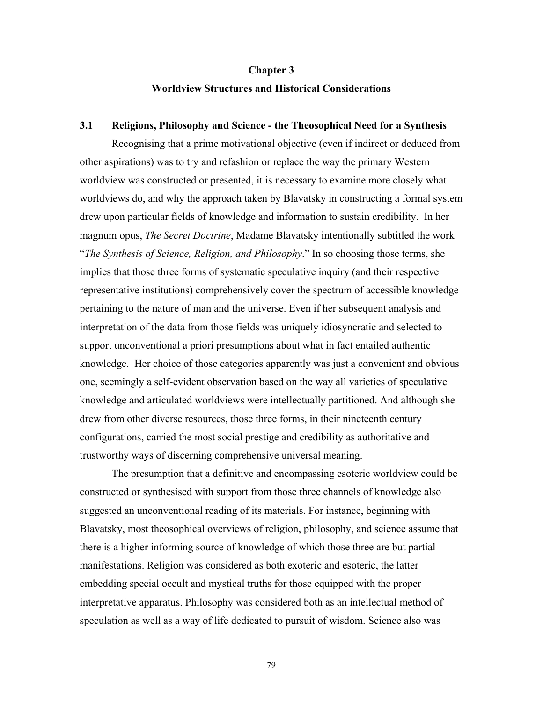#### **Chapter 3**

### **Worldview Structures and Historical Considerations**

#### **3.1 Religions, Philosophy and Science - the Theosophical Need for a Synthesis**

Recognising that a prime motivational objective (even if indirect or deduced from other aspirations) was to try and refashion or replace the way the primary Western worldview was constructed or presented, it is necessary to examine more closely what worldviews do, and why the approach taken by Blavatsky in constructing a formal system drew upon particular fields of knowledge and information to sustain credibility. In her magnum opus, *The Secret Doctrine*, Madame Blavatsky intentionally subtitled the work "*The Synthesis of Science, Religion, and Philosophy*." In so choosing those terms, she implies that those three forms of systematic speculative inquiry (and their respective representative institutions) comprehensively cover the spectrum of accessible knowledge pertaining to the nature of man and the universe. Even if her subsequent analysis and interpretation of the data from those fields was uniquely idiosyncratic and selected to support unconventional a priori presumptions about what in fact entailed authentic knowledge. Her choice of those categories apparently was just a convenient and obvious one, seemingly a self-evident observation based on the way all varieties of speculative knowledge and articulated worldviews were intellectually partitioned. And although she drew from other diverse resources, those three forms, in their nineteenth century configurations, carried the most social prestige and credibility as authoritative and trustworthy ways of discerning comprehensive universal meaning.

The presumption that a definitive and encompassing esoteric worldview could be constructed or synthesised with support from those three channels of knowledge also suggested an unconventional reading of its materials. For instance, beginning with Blavatsky, most theosophical overviews of religion, philosophy, and science assume that there is a higher informing source of knowledge of which those three are but partial manifestations. Religion was considered as both exoteric and esoteric, the latter embedding special occult and mystical truths for those equipped with the proper interpretative apparatus. Philosophy was considered both as an intellectual method of speculation as well as a way of life dedicated to pursuit of wisdom. Science also was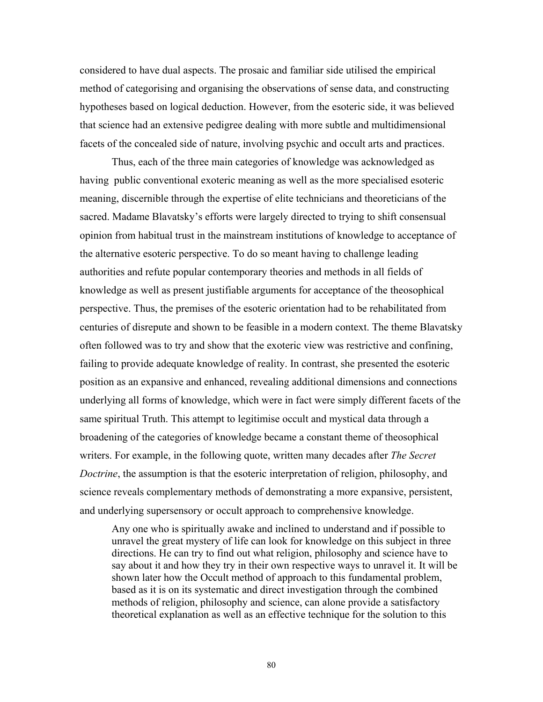considered to have dual aspects. The prosaic and familiar side utilised the empirical method of categorising and organising the observations of sense data, and constructing hypotheses based on logical deduction. However, from the esoteric side, it was believed that science had an extensive pedigree dealing with more subtle and multidimensional facets of the concealed side of nature, involving psychic and occult arts and practices.

Thus, each of the three main categories of knowledge was acknowledged as having public conventional exoteric meaning as well as the more specialised esoteric meaning, discernible through the expertise of elite technicians and theoreticians of the sacred. Madame Blavatsky's efforts were largely directed to trying to shift consensual opinion from habitual trust in the mainstream institutions of knowledge to acceptance of the alternative esoteric perspective. To do so meant having to challenge leading authorities and refute popular contemporary theories and methods in all fields of knowledge as well as present justifiable arguments for acceptance of the theosophical perspective. Thus, the premises of the esoteric orientation had to be rehabilitated from centuries of disrepute and shown to be feasible in a modern context. The theme Blavatsky often followed was to try and show that the exoteric view was restrictive and confining, failing to provide adequate knowledge of reality. In contrast, she presented the esoteric position as an expansive and enhanced, revealing additional dimensions and connections underlying all forms of knowledge, which were in fact were simply different facets of the same spiritual Truth. This attempt to legitimise occult and mystical data through a broadening of the categories of knowledge became a constant theme of theosophical writers. For example, in the following quote, written many decades after *The Secret Doctrine*, the assumption is that the esoteric interpretation of religion, philosophy, and science reveals complementary methods of demonstrating a more expansive, persistent, and underlying supersensory or occult approach to comprehensive knowledge.

Any one who is spiritually awake and inclined to understand and if possible to unravel the great mystery of life can look for knowledge on this subject in three directions. He can try to find out what religion, philosophy and science have to say about it and how they try in their own respective ways to unravel it. It will be shown later how the Occult method of approach to this fundamental problem, based as it is on its systematic and direct investigation through the combined methods of religion, philosophy and science, can alone provide a satisfactory theoretical explanation as well as an effective technique for the solution to this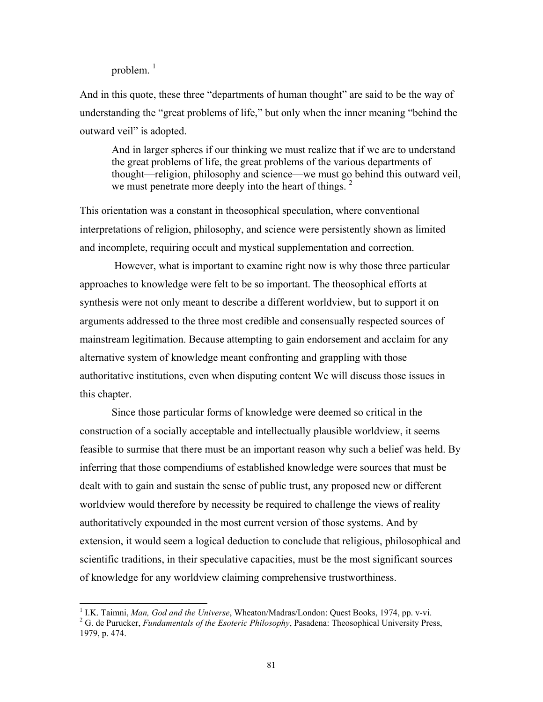problem. $1$ 

And in this quote, these three "departments of human thought" are said to be the way of understanding the "great problems of life," but only when the inner meaning "behind the outward veil" is adopted.

And in larger spheres if our thinking we must realize that if we are to understand the great problems of life, the great problems of the various departments of thought—religion, philosophy and science—we must go behind this outward veil, we must penetrate more deeply into the heart of things.  $2^2$  $2^2$ 

This orientation was a constant in theosophical speculation, where conventional interpretations of religion, philosophy, and science were persistently shown as limited and incomplete, requiring occult and mystical supplementation and correction.

 However, what is important to examine right now is why those three particular approaches to knowledge were felt to be so important. The theosophical efforts at synthesis were not only meant to describe a different worldview, but to support it on arguments addressed to the three most credible and consensually respected sources of mainstream legitimation. Because attempting to gain endorsement and acclaim for any alternative system of knowledge meant confronting and grappling with those authoritative institutions, even when disputing content We will discuss those issues in this chapter.

Since those particular forms of knowledge were deemed so critical in the construction of a socially acceptable and intellectually plausible worldview, it seems feasible to surmise that there must be an important reason why such a belief was held. By inferring that those compendiums of established knowledge were sources that must be dealt with to gain and sustain the sense of public trust, any proposed new or different worldview would therefore by necessity be required to challenge the views of reality authoritatively expounded in the most current version of those systems. And by extension, it would seem a logical deduction to conclude that religious, philosophical and scientific traditions, in their speculative capacities, must be the most significant sources of knowledge for any worldview claiming comprehensive trustworthiness.

<span id="page-2-0"></span><sup>&</sup>lt;sup>1</sup> I.K. Taimni, Man, God and the Universe, Wheaton/Madras/London: Quest Books, 1974, pp. v-vi.

<span id="page-2-1"></span><sup>&</sup>lt;sup>2</sup> G. de Purucker, *Fundamentals of the Esoteric Philosophy*, Pasadena: Theosophical University Press, 1979, p. 474.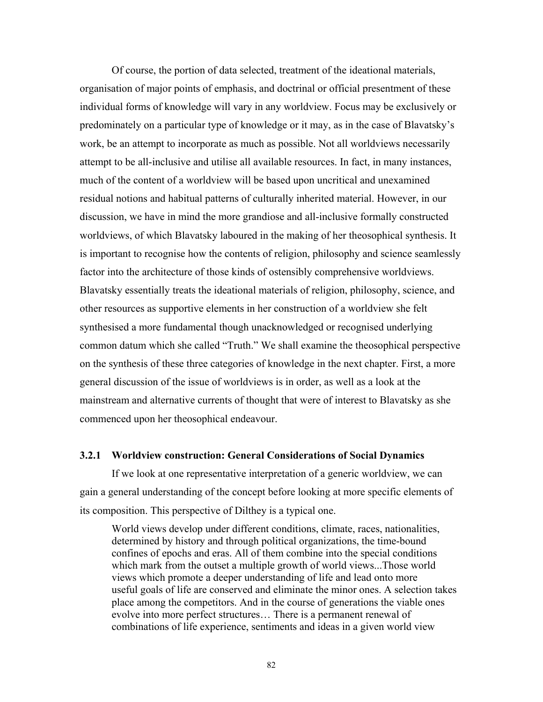Of course, the portion of data selected, treatment of the ideational materials, organisation of major points of emphasis, and doctrinal or official presentment of these individual forms of knowledge will vary in any worldview. Focus may be exclusively or predominately on a particular type of knowledge or it may, as in the case of Blavatsky's work, be an attempt to incorporate as much as possible. Not all worldviews necessarily attempt to be all-inclusive and utilise all available resources. In fact, in many instances, much of the content of a worldview will be based upon uncritical and unexamined residual notions and habitual patterns of culturally inherited material. However, in our discussion, we have in mind the more grandiose and all-inclusive formally constructed worldviews, of which Blavatsky laboured in the making of her theosophical synthesis. It is important to recognise how the contents of religion, philosophy and science seamlessly factor into the architecture of those kinds of ostensibly comprehensive worldviews. Blavatsky essentially treats the ideational materials of religion, philosophy, science, and other resources as supportive elements in her construction of a worldview she felt synthesised a more fundamental though unacknowledged or recognised underlying common datum which she called "Truth." We shall examine the theosophical perspective on the synthesis of these three categories of knowledge in the next chapter. First, a more general discussion of the issue of worldviews is in order, as well as a look at the mainstream and alternative currents of thought that were of interest to Blavatsky as she commenced upon her theosophical endeavour.

### **3.2.1 Worldview construction: General Considerations of Social Dynamics**

If we look at one representative interpretation of a generic worldview, we can gain a general understanding of the concept before looking at more specific elements of its composition. This perspective of Dilthey is a typical one.

World views develop under different conditions, climate, races, nationalities, determined by history and through political organizations, the time-bound confines of epochs and eras. All of them combine into the special conditions which mark from the outset a multiple growth of world views...Those world views which promote a deeper understanding of life and lead onto more useful goals of life are conserved and eliminate the minor ones. A selection takes place among the competitors. And in the course of generations the viable ones evolve into more perfect structures… There is a permanent renewal of combinations of life experience, sentiments and ideas in a given world view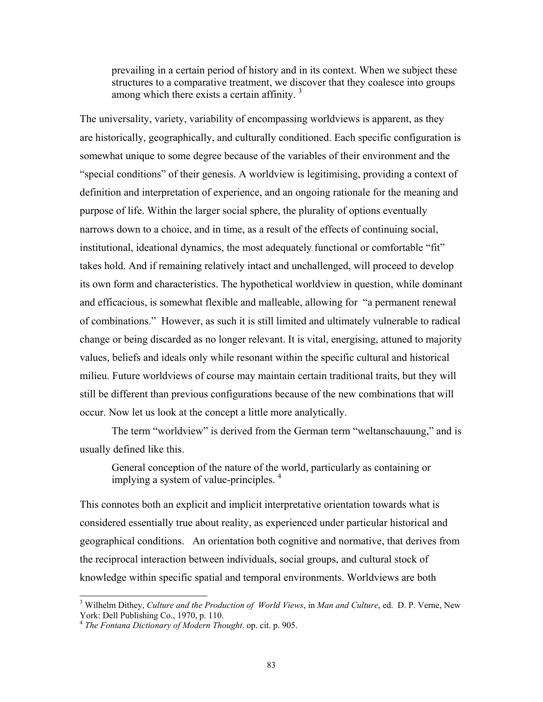prevailing in a certain period of history and in its context. When we subject these structures to a comparative treatment, we discover that they coalesce into groups among which there exists a certain affinity.<sup>[3](#page-4-0)</sup>

The universality, variety, variability of encompassing worldviews is apparent, as they are historically, geographically, and culturally conditioned. Each specific configuration is somewhat unique to some degree because of the variables of their environment and the "special conditions" of their genesis. A worldview is legitimising, providing a context of definition and interpretation of experience, and an ongoing rationale for the meaning and purpose of life. Within the larger social sphere, the plurality of options eventually narrows down to a choice, and in time, as a result of the effects of continuing social, institutional, ideational dynamics, the most adequately functional or comfortable "fit" takes hold. And if remaining relatively intact and unchallenged, will proceed to develop its own form and characteristics. The hypothetical worldview in question, while dominant and efficacious, is somewhat flexible and malleable, allowing for "a permanent renewal of combinations." However, as such it is still limited and ultimately vulnerable to radical change or being discarded as no longer relevant. It is vital, energising, attuned to majority values, beliefs and ideals only while resonant within the specific cultural and historical milieu. Future worldviews of course may maintain certain traditional traits, but they will still be different than previous configurations because of the new combinations that will occur. Now let us look at the concept a little more analytically.

The term "worldview" is derived from the German term "weltanschauung," and is usually defined like this.

General conception of the nature of the world, particularly as containing or implying a system of value-principles.<sup>[4](#page-4-1)</sup>

This connotes both an explicit and implicit interpretative orientation towards what is considered essentially true about reality, as experienced under particular historical and geographical conditions. An orientation both cognitive and normative, that derives from the reciprocal interaction between individuals, social groups, and cultural stock of knowledge within specific spatial and temporal environments. Worldviews are both

<span id="page-4-0"></span><sup>3</sup> Wilhelm Dithey, *Culture and the Production of World Views*, in *Man and Culture*, ed. D. P. Verne, New York: Dell Publishing Co., 1970, p. 110.

<span id="page-4-1"></span><sup>4</sup> *The Fontana Dictionary of Modern Thought*. op. cit. p. 905.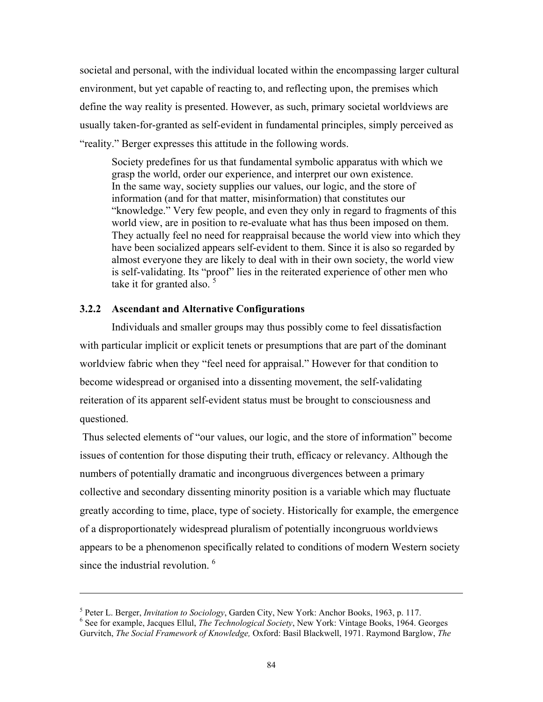<span id="page-5-1"></span>societal and personal, with the individual located within the encompassing larger cultural environment, but yet capable of reacting to, and reflecting upon, the premises which define the way reality is presented. However, as such, primary societal worldviews are usually taken-for-granted as self-evident in fundamental principles, simply perceived as "reality." Berger expresses this attitude in the following words.

Society predefines for us that fundamental symbolic apparatus with which we grasp the world, order our experience, and interpret our own existence. In the same way, society supplies our values, our logic, and the store of information (and for that matter, misinformation) that constitutes our "knowledge." Very few people, and even they only in regard to fragments of this world view, are in position to re-evaluate what has thus been imposed on them. They actually feel no need for reappraisal because the world view into which they have been socialized appears self-evident to them. Since it is also so regarded by almost everyone they are likely to deal with in their own society, the world view is self-validating. Its "proof" lies in the reiterated experience of other men who take it for granted also.  $5$ 

### **3.2.2 Ascendant and Alternative Configurations**

 $\overline{a}$ 

Individuals and smaller groups may thus possibly come to feel dissatisfaction with particular implicit or explicit tenets or presumptions that are part of the dominant worldview fabric when they "feel need for appraisal." However for that condition to become widespread or organised into a dissenting movement, the self-validating reiteration of its apparent self-evident status must be brought to consciousness and questioned.

 Thus selected elements of "our values, our logic, and the store of information" become issues of contention for those disputing their truth, efficacy or relevancy. Although the numbers of potentially dramatic and incongruous divergences between a primary collective and secondary dissenting minority position is a variable which may fluctuate greatly according to time, place, type of society. Historically for example, the emergence of a disproportionately widespread pluralism of potentially incongruous worldviews appears to be a phenomenon specifically related to conditions of modern Western society since the industrial revolution.<sup>6</sup>

<span id="page-5-0"></span><sup>&</sup>lt;sup>5</sup> Peter L. Berger, *Invitation to Sociology*, Garden City, New York: Anchor Books, 1963, p. 117.<br><sup>6</sup> See for example, Jacques Ellul, *The Technological Society*, New York: Vintage Books, 1964. Georges Gurvitch, *The Social Framework of Knowledge,* Oxford: Basil Blackwell, 1971. Raymond Barglow, *The*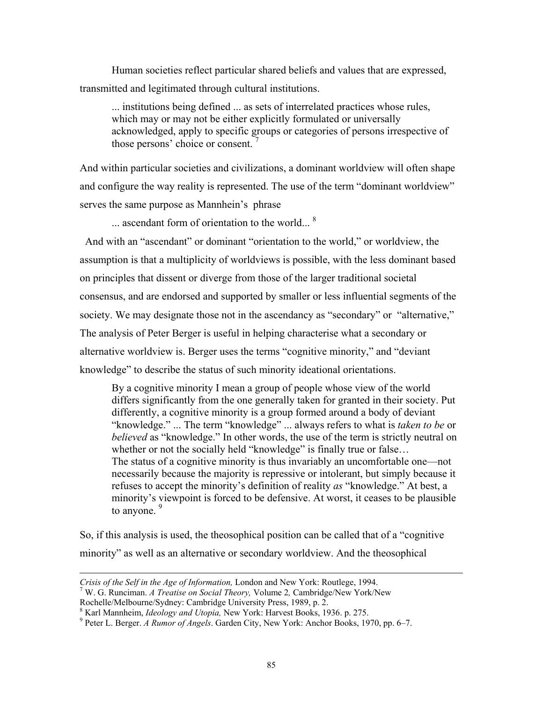Human societies reflect particular shared beliefs and values that are expressed, transmitted and legitimated through cultural institutions.

... institutions being defined ... as sets of interrelated practices whose rules, which may or may not be either explicitly formulated or universally acknowledged, apply to specific groups or categories of persons irrespective of those persons' choice or consent.

And within particular societies and civilizations, a dominant worldview will often shape and configure the way reality is represented. The use of the term "dominant worldview" serves the same purpose as Mannhein's phrase

... ascendant form of orientation to the world... <sup>[8](#page-6-1)</sup>

 And with an "ascendant" or dominant "orientation to the world," or worldview, the assumption is that a multiplicity of worldviews is possible, with the less dominant based on principles that dissent or diverge from those of the larger traditional societal consensus, and are endorsed and supported by smaller or less influential segments of the society. We may designate those not in the ascendancy as "secondary" or "alternative," The analysis of Peter Berger is useful in helping characterise what a secondary or alternative worldview is. Berger uses the terms "cognitive minority," and "deviant knowledge" to describe the status of such minority ideational orientations.

By a cognitive minority I mean a group of people whose view of the world differs significantly from the one generally taken for granted in their society. Put differently, a cognitive minority is a group formed around a body of deviant "knowledge." ... The term "knowledge" ... always refers to what is *taken to be* or *believed* as "knowledge." In other words, the use of the term is strictly neutral on whether or not the socially held "knowledge" is finally true or false... The status of a cognitive minority is thus invariably an uncomfortable one—not necessarily because the majority is repressive or intolerant, but simply because it refuses to accept the minority's definition of reality *as* "knowledge." At best, a minority's viewpoint is forced to be defensive. At worst, it ceases to be plausible to anyone.  $9<sup>9</sup>$ 

So, if this analysis is used, the theosophical position can be called that of a "cognitive minority" as well as an alternative or secondary worldview. And the theosophical

l

<span id="page-6-0"></span>

*Crisis of the Self in the Age of Information,* London and New York: Routlege, 1994.<br><sup>7</sup> W. G. Runciman. *A Treatise on Social Theory,* Volume 2, Cambridge/New York/New Rochelle/Melbourne/Sydney: Cambridge University Press

<span id="page-6-2"></span><span id="page-6-1"></span>

<sup>&</sup>lt;sup>8</sup> Karl Mannheim, *Ideology and Utopia*, New York: Harvest Books, 1936. p. 275.<br><sup>9</sup> Peter L. Berger. A Rumor of Angels. Garden City, New York: Anchor Books, 1970, pp. 6–7.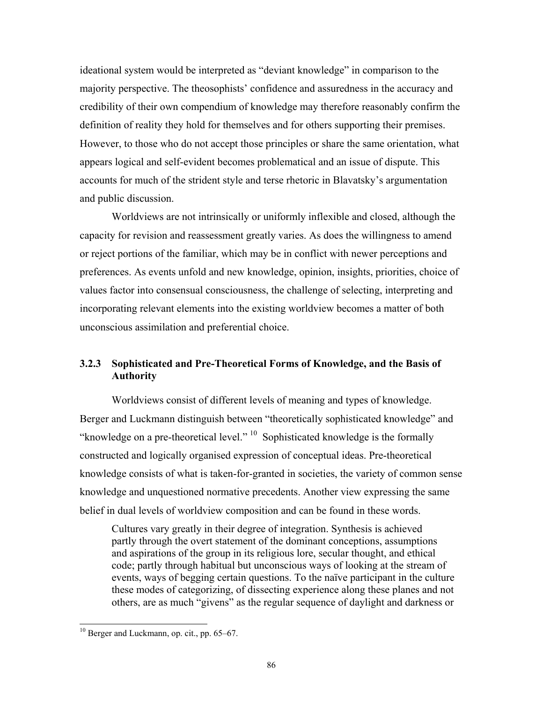ideational system would be interpreted as "deviant knowledge" in comparison to the majority perspective. The theosophists' confidence and assuredness in the accuracy and credibility of their own compendium of knowledge may therefore reasonably confirm the definition of reality they hold for themselves and for others supporting their premises. However, to those who do not accept those principles or share the same orientation, what appears logical and self-evident becomes problematical and an issue of dispute. This accounts for much of the strident style and terse rhetoric in Blavatsky's argumentation and public discussion.

Worldviews are not intrinsically or uniformly inflexible and closed, although the capacity for revision and reassessment greatly varies. As does the willingness to amend or reject portions of the familiar, which may be in conflict with newer perceptions and preferences. As events unfold and new knowledge, opinion, insights, priorities, choice of values factor into consensual consciousness, the challenge of selecting, interpreting and incorporating relevant elements into the existing worldview becomes a matter of both unconscious assimilation and preferential choice.

# **3.2.3 Sophisticated and Pre-Theoretical Forms of Knowledge, and the Basis of Authority**

Worldviews consist of different levels of meaning and types of knowledge. Berger and Luckmann distinguish between "theoretically sophisticated knowledge" and "knowledge on a pre-theoretical level."  $^{10}$  Sophisticated knowledge is the formally constructed and logically organised expression of conceptual ideas. Pre-theoretical knowledge consists of what is taken-for-granted in societies, the variety of common sense knowledge and unquestioned normative precedents. Another view expressing the same belief in dual levels of worldview composition and can be found in these words.

Cultures vary greatly in their degree of integration. Synthesis is achieved partly through the overt statement of the dominant conceptions, assumptions and aspirations of the group in its religious lore, secular thought, and ethical code; partly through habitual but unconscious ways of looking at the stream of events, ways of begging certain questions. To the naïve participant in the culture these modes of categorizing, of dissecting experience along these planes and not others, are as much "givens" as the regular sequence of daylight and darkness or

<span id="page-7-0"></span> $10$  Berger and Luckmann, op. cit., pp. 65–67.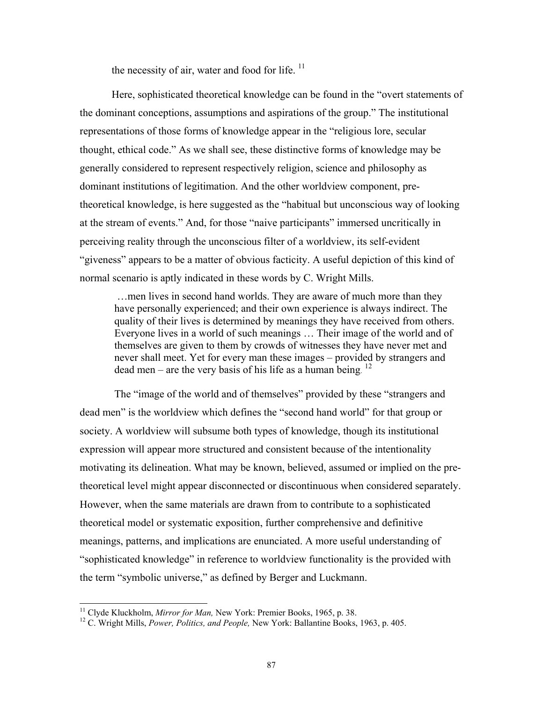the necessity of air, water and food for life.  $^{11}$ 

Here, sophisticated theoretical knowledge can be found in the "overt statements of the dominant conceptions, assumptions and aspirations of the group." The institutional representations of those forms of knowledge appear in the "religious lore, secular thought, ethical code." As we shall see, these distinctive forms of knowledge may be generally considered to represent respectively religion, science and philosophy as dominant institutions of legitimation. And the other worldview component, pretheoretical knowledge, is here suggested as the "habitual but unconscious way of looking at the stream of events." And, for those "naive participants" immersed uncritically in perceiving reality through the unconscious filter of a worldview, its self-evident "giveness" appears to be a matter of obvious facticity. A useful depiction of this kind of normal scenario is aptly indicated in these words by C. Wright Mills.

 …men lives in second hand worlds. They are aware of much more than they have personally experienced; and their own experience is always indirect. The quality of their lives is determined by meanings they have received from others. Everyone lives in a world of such meanings … Their image of the world and of themselves are given to them by crowds of witnesses they have never met and never shall meet. Yet for every man these images – provided by strangers and dead men – are the very basis of his life as a human being.  $12$ 

 The "image of the world and of themselves" provided by these "strangers and dead men" is the worldview which defines the "second hand world" for that group or society. A worldview will subsume both types of knowledge, though its institutional expression will appear more structured and consistent because of the intentionality motivating its delineation. What may be known, believed, assumed or implied on the pretheoretical level might appear disconnected or discontinuous when considered separately. However, when the same materials are drawn from to contribute to a sophisticated theoretical model or systematic exposition, further comprehensive and definitive meanings, patterns, and implications are enunciated. A more useful understanding of "sophisticated knowledge" in reference to worldview functionality is the provided with the term "symbolic universe," as defined by Berger and Luckmann.

<span id="page-8-0"></span><sup>&</sup>lt;sup>11</sup> Clyde Kluckholm, *Mirror for Man*, New York: Premier Books, 1965, p. 38.

<span id="page-8-1"></span><sup>&</sup>lt;sup>12</sup> C. Wright Mills, *Power, Politics, and People, New York: Ballantine Books, 1963, p. 405.*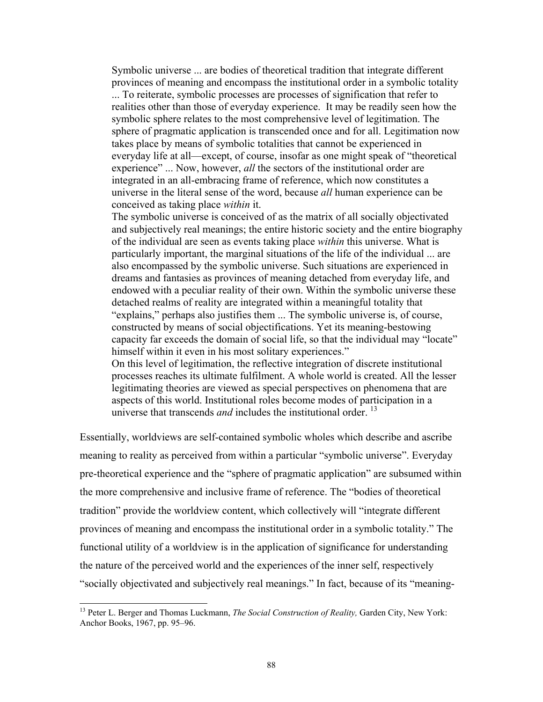Symbolic universe ... are bodies of theoretical tradition that integrate different provinces of meaning and encompass the institutional order in a symbolic totality ... To reiterate, symbolic processes are processes of signification that refer to realities other than those of everyday experience. It may be readily seen how the symbolic sphere relates to the most comprehensive level of legitimation. The sphere of pragmatic application is transcended once and for all. Legitimation now takes place by means of symbolic totalities that cannot be experienced in everyday life at all—except, of course, insofar as one might speak of "theoretical experience" ... Now, however, *all* the sectors of the institutional order are integrated in an all-embracing frame of reference, which now constitutes a universe in the literal sense of the word, because *all* human experience can be conceived as taking place *within* it.

The symbolic universe is conceived of as the matrix of all socially objectivated and subjectively real meanings; the entire historic society and the entire biography of the individual are seen as events taking place *within* this universe. What is particularly important, the marginal situations of the life of the individual ... are also encompassed by the symbolic universe. Such situations are experienced in dreams and fantasies as provinces of meaning detached from everyday life, and endowed with a peculiar reality of their own. Within the symbolic universe these detached realms of reality are integrated within a meaningful totality that "explains," perhaps also justifies them ... The symbolic universe is, of course, constructed by means of social objectifications. Yet its meaning-bestowing capacity far exceeds the domain of social life, so that the individual may "locate" himself within it even in his most solitary experiences." On this level of legitimation, the reflective integration of discrete institutional processes reaches its ultimate fulfilment. A whole world is created. All the lesser

legitimating theories are viewed as special perspectives on phenomena that are aspects of this world. Institutional roles become modes of participation in a universe that transcends *and* includes the institutional order.<sup>[13](#page-9-0)</sup>

Essentially, worldviews are self-contained symbolic wholes which describe and ascribe meaning to reality as perceived from within a particular "symbolic universe". Everyday pre-theoretical experience and the "sphere of pragmatic application" are subsumed within the more comprehensive and inclusive frame of reference. The "bodies of theoretical tradition" provide the worldview content, which collectively will "integrate different provinces of meaning and encompass the institutional order in a symbolic totality." The functional utility of a worldview is in the application of significance for understanding the nature of the perceived world and the experiences of the inner self, respectively "socially objectivated and subjectively real meanings." In fact, because of its "meaning-

l

<span id="page-9-0"></span><sup>&</sup>lt;sup>13</sup> Peter L. Berger and Thomas Luckmann, *The Social Construction of Reality*, Garden City, New York: Anchor Books, 1967, pp. 95–96.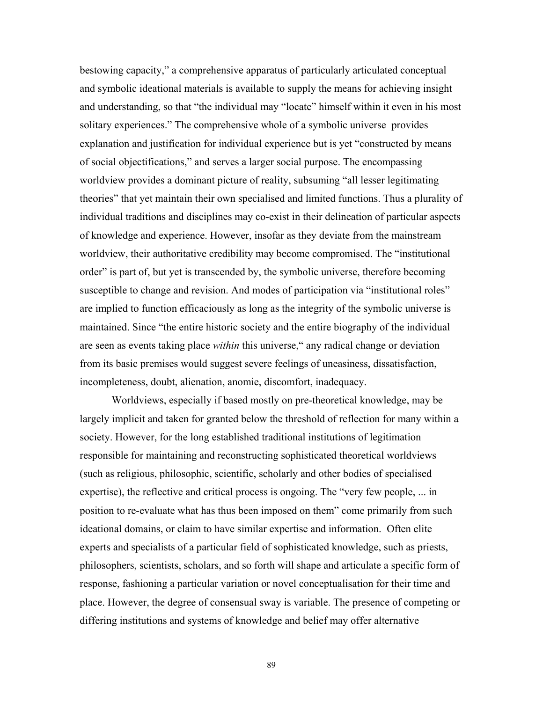bestowing capacity," a comprehensive apparatus of particularly articulated conceptual and symbolic ideational materials is available to supply the means for achieving insight and understanding, so that "the individual may "locate" himself within it even in his most solitary experiences." The comprehensive whole of a symbolic universe provides explanation and justification for individual experience but is yet "constructed by means of social objectifications," and serves a larger social purpose. The encompassing worldview provides a dominant picture of reality, subsuming "all lesser legitimating theories" that yet maintain their own specialised and limited functions. Thus a plurality of individual traditions and disciplines may co-exist in their delineation of particular aspects of knowledge and experience. However, insofar as they deviate from the mainstream worldview, their authoritative credibility may become compromised. The "institutional order" is part of, but yet is transcended by, the symbolic universe, therefore becoming susceptible to change and revision. And modes of participation via "institutional roles" are implied to function efficaciously as long as the integrity of the symbolic universe is maintained. Since "the entire historic society and the entire biography of the individual are seen as events taking place *within* this universe," any radical change or deviation from its basic premises would suggest severe feelings of uneasiness, dissatisfaction, incompleteness, doubt, alienation, anomie, discomfort, inadequacy.

Worldviews, especially if based mostly on pre-theoretical knowledge, may be largely implicit and taken for granted below the threshold of reflection for many within a society. However, for the long established traditional institutions of legitimation responsible for maintaining and reconstructing sophisticated theoretical worldviews (such as religious, philosophic, scientific, scholarly and other bodies of specialised expertise), the reflective and critical process is ongoing. The "very few people, ... in position to re-evaluate what has thus been imposed on them" come primarily from such ideational domains, or claim to have similar expertise and information. Often elite experts and specialists of a particular field of sophisticated knowledge, such as priests, philosophers, scientists, scholars, and so forth will shape and articulate a specific form of response, fashioning a particular variation or novel conceptualisation for their time and place. However, the degree of consensual sway is variable. The presence of competing or differing institutions and systems of knowledge and belief may offer alternative

89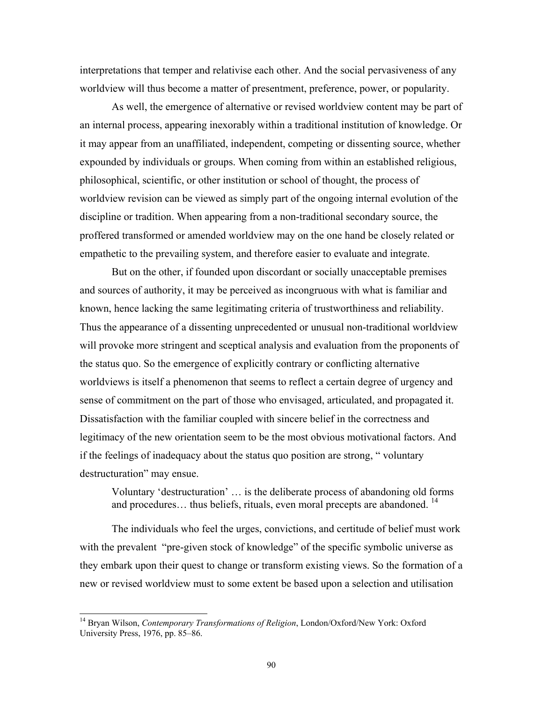interpretations that temper and relativise each other. And the social pervasiveness of any worldview will thus become a matter of presentment, preference, power, or popularity.

As well, the emergence of alternative or revised worldview content may be part of an internal process, appearing inexorably within a traditional institution of knowledge. Or it may appear from an unaffiliated, independent, competing or dissenting source, whether expounded by individuals or groups. When coming from within an established religious, philosophical, scientific, or other institution or school of thought, the process of worldview revision can be viewed as simply part of the ongoing internal evolution of the discipline or tradition. When appearing from a non-traditional secondary source, the proffered transformed or amended worldview may on the one hand be closely related or empathetic to the prevailing system, and therefore easier to evaluate and integrate.

But on the other, if founded upon discordant or socially unacceptable premises and sources of authority, it may be perceived as incongruous with what is familiar and known, hence lacking the same legitimating criteria of trustworthiness and reliability. Thus the appearance of a dissenting unprecedented or unusual non-traditional worldview will provoke more stringent and sceptical analysis and evaluation from the proponents of the status quo. So the emergence of explicitly contrary or conflicting alternative worldviews is itself a phenomenon that seems to reflect a certain degree of urgency and sense of commitment on the part of those who envisaged, articulated, and propagated it. Dissatisfaction with the familiar coupled with sincere belief in the correctness and legitimacy of the new orientation seem to be the most obvious motivational factors. And if the feelings of inadequacy about the status quo position are strong, " voluntary destructuration" may ensue.

Voluntary 'destructuration' … is the deliberate process of abandoning old forms and procedures... thus beliefs, rituals, even moral precepts are abandoned.<sup>[14](#page-11-0)</sup>

The individuals who feel the urges, convictions, and certitude of belief must work with the prevalent "pre-given stock of knowledge" of the specific symbolic universe as they embark upon their quest to change or transform existing views. So the formation of a new or revised worldview must to some extent be based upon a selection and utilisation

<span id="page-11-0"></span><sup>14</sup> Bryan Wilson, *Contemporary Transformations of Religion*, London/Oxford/New York: Oxford University Press, 1976, pp. 85–86.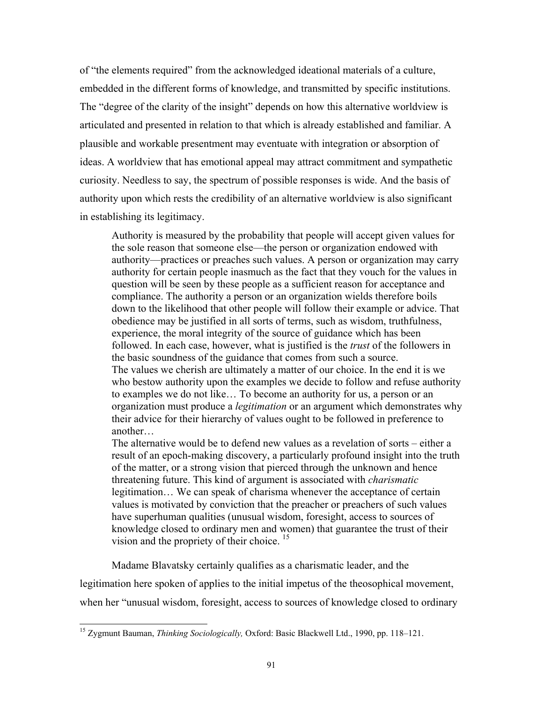of "the elements required" from the acknowledged ideational materials of a culture, embedded in the different forms of knowledge, and transmitted by specific institutions. The "degree of the clarity of the insight" depends on how this alternative worldview is articulated and presented in relation to that which is already established and familiar. A plausible and workable presentment may eventuate with integration or absorption of ideas. A worldview that has emotional appeal may attract commitment and sympathetic curiosity. Needless to say, the spectrum of possible responses is wide. And the basis of authority upon which rests the credibility of an alternative worldview is also significant in establishing its legitimacy.

Authority is measured by the probability that people will accept given values for the sole reason that someone else—the person or organization endowed with authority—practices or preaches such values. A person or organization may carry authority for certain people inasmuch as the fact that they vouch for the values in question will be seen by these people as a sufficient reason for acceptance and compliance. The authority a person or an organization wields therefore boils down to the likelihood that other people will follow their example or advice. That obedience may be justified in all sorts of terms, such as wisdom, truthfulness, experience, the moral integrity of the source of guidance which has been followed. In each case, however, what is justified is the *trust* of the followers in the basic soundness of the guidance that comes from such a source. The values we cherish are ultimately a matter of our choice. In the end it is we who bestow authority upon the examples we decide to follow and refuse authority to examples we do not like… To become an authority for us, a person or an organization must produce a *legitimation* or an argument which demonstrates why their advice for their hierarchy of values ought to be followed in preference to another…

The alternative would be to defend new values as a revelation of sorts – either a result of an epoch-making discovery, a particularly profound insight into the truth of the matter, or a strong vision that pierced through the unknown and hence threatening future. This kind of argument is associated with *charismatic* legitimation… We can speak of charisma whenever the acceptance of certain values is motivated by conviction that the preacher or preachers of such values have superhuman qualities (unusual wisdom, foresight, access to sources of knowledge closed to ordinary men and women) that guarantee the trust of their vision and the propriety of their choice.  $15$ 

Madame Blavatsky certainly qualifies as a charismatic leader, and the legitimation here spoken of applies to the initial impetus of the theosophical movement, when her "unusual wisdom, foresight, access to sources of knowledge closed to ordinary

<span id="page-12-0"></span><sup>15</sup> Zygmunt Bauman, *Thinking Sociologically,* Oxford: Basic Blackwell Ltd., 1990, pp. 118–121.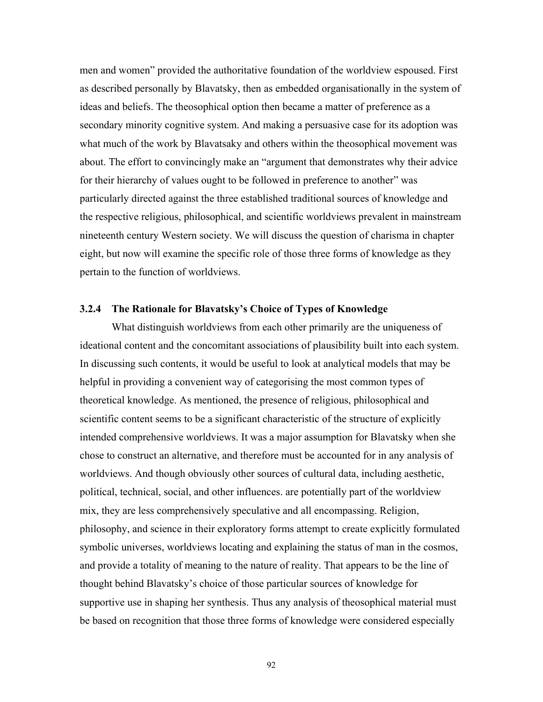men and women" provided the authoritative foundation of the worldview espoused. First as described personally by Blavatsky, then as embedded organisationally in the system of ideas and beliefs. The theosophical option then became a matter of preference as a secondary minority cognitive system. And making a persuasive case for its adoption was what much of the work by Blavatsaky and others within the theosophical movement was about. The effort to convincingly make an "argument that demonstrates why their advice for their hierarchy of values ought to be followed in preference to another" was particularly directed against the three established traditional sources of knowledge and the respective religious, philosophical, and scientific worldviews prevalent in mainstream nineteenth century Western society. We will discuss the question of charisma in chapter eight, but now will examine the specific role of those three forms of knowledge as they pertain to the function of worldviews.

### **3.2.4 The Rationale for Blavatsky's Choice of Types of Knowledge**

What distinguish worldviews from each other primarily are the uniqueness of ideational content and the concomitant associations of plausibility built into each system. In discussing such contents, it would be useful to look at analytical models that may be helpful in providing a convenient way of categorising the most common types of theoretical knowledge. As mentioned, the presence of religious, philosophical and scientific content seems to be a significant characteristic of the structure of explicitly intended comprehensive worldviews. It was a major assumption for Blavatsky when she chose to construct an alternative, and therefore must be accounted for in any analysis of worldviews. And though obviously other sources of cultural data, including aesthetic, political, technical, social, and other influences. are potentially part of the worldview mix, they are less comprehensively speculative and all encompassing. Religion, philosophy, and science in their exploratory forms attempt to create explicitly formulated symbolic universes, worldviews locating and explaining the status of man in the cosmos, and provide a totality of meaning to the nature of reality. That appears to be the line of thought behind Blavatsky's choice of those particular sources of knowledge for supportive use in shaping her synthesis. Thus any analysis of theosophical material must be based on recognition that those three forms of knowledge were considered especially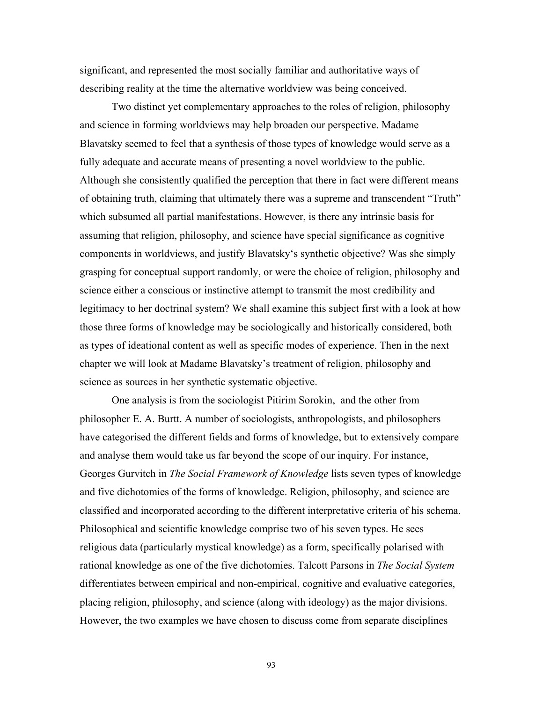significant, and represented the most socially familiar and authoritative ways of describing reality at the time the alternative worldview was being conceived.

Two distinct yet complementary approaches to the roles of religion, philosophy and science in forming worldviews may help broaden our perspective. Madame Blavatsky seemed to feel that a synthesis of those types of knowledge would serve as a fully adequate and accurate means of presenting a novel worldview to the public. Although she consistently qualified the perception that there in fact were different means of obtaining truth, claiming that ultimately there was a supreme and transcendent "Truth" which subsumed all partial manifestations. However, is there any intrinsic basis for assuming that religion, philosophy, and science have special significance as cognitive components in worldviews, and justify Blavatsky's synthetic objective? Was she simply grasping for conceptual support randomly, or were the choice of religion, philosophy and science either a conscious or instinctive attempt to transmit the most credibility and legitimacy to her doctrinal system? We shall examine this subject first with a look at how those three forms of knowledge may be sociologically and historically considered, both as types of ideational content as well as specific modes of experience. Then in the next chapter we will look at Madame Blavatsky's treatment of religion, philosophy and science as sources in her synthetic systematic objective.

One analysis is from the sociologist Pitirim Sorokin, and the other from philosopher E. A. Burtt. A number of sociologists, anthropologists, and philosophers have categorised the different fields and forms of knowledge, but to extensively compare and analyse them would take us far beyond the scope of our inquiry. For instance, Georges Gurvitch in *The Social Framework of Knowledge* lists seven types of knowledge and five dichotomies of the forms of knowledge. Religion, philosophy, and science are classified and incorporated according to the different interpretative criteria of his schema. Philosophical and scientific knowledge comprise two of his seven types. He sees religious data (particularly mystical knowledge) as a form, specifically polarised with rational knowledge as one of the five dichotomies. Talcott Parsons in *The Social System* differentiates between empirical and non-empirical, cognitive and evaluative categories, placing religion, philosophy, and science (along with ideology) as the major divisions. However, the two examples we have chosen to discuss come from separate disciplines

93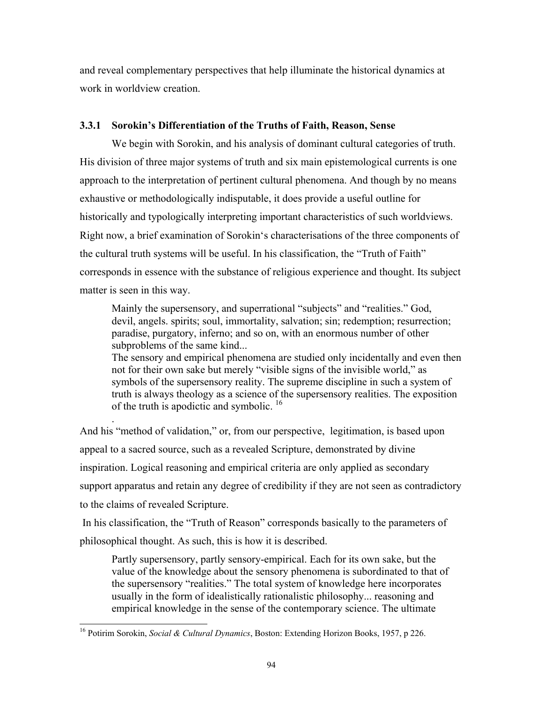and reveal complementary perspectives that help illuminate the historical dynamics at work in worldview creation.

# **3.3.1 Sorokin's Differentiation of the Truths of Faith, Reason, Sense**

We begin with Sorokin, and his analysis of dominant cultural categories of truth. His division of three major systems of truth and six main epistemological currents is one approach to the interpretation of pertinent cultural phenomena. And though by no means exhaustive or methodologically indisputable, it does provide a useful outline for historically and typologically interpreting important characteristics of such worldviews. Right now, a brief examination of Sorokin's characterisations of the three components of the cultural truth systems will be useful. In his classification, the "Truth of Faith" corresponds in essence with the substance of religious experience and thought. Its subject matter is seen in this way.

Mainly the supersensory, and superrational "subjects" and "realities." God, devil, angels. spirits; soul, immortality, salvation; sin; redemption; resurrection; paradise, purgatory, inferno; and so on, with an enormous number of other subproblems of the same kind...

The sensory and empirical phenomena are studied only incidentally and even then not for their own sake but merely "visible signs of the invisible world," as symbols of the supersensory reality. The supreme discipline in such a system of truth is always theology as a science of the supersensory realities. The exposition of the truth is apodictic and symbolic.<sup>[16](#page-15-0)</sup>

 . And his "method of validation," or, from our perspective, legitimation, is based upon appeal to a sacred source, such as a revealed Scripture, demonstrated by divine inspiration. Logical reasoning and empirical criteria are only applied as secondary support apparatus and retain any degree of credibility if they are not seen as contradictory to the claims of revealed Scripture.

 In his classification, the "Truth of Reason" corresponds basically to the parameters of philosophical thought. As such, this is how it is described.

Partly supersensory, partly sensory-empirical. Each for its own sake, but the value of the knowledge about the sensory phenomena is subordinated to that of the supersensory "realities." The total system of knowledge here incorporates usually in the form of idealistically rationalistic philosophy... reasoning and empirical knowledge in the sense of the contemporary science. The ultimate

<span id="page-15-0"></span><sup>16</sup> Potirim Sorokin, *Social & Cultural Dynamics*, Boston: Extending Horizon Books, 1957, p 226.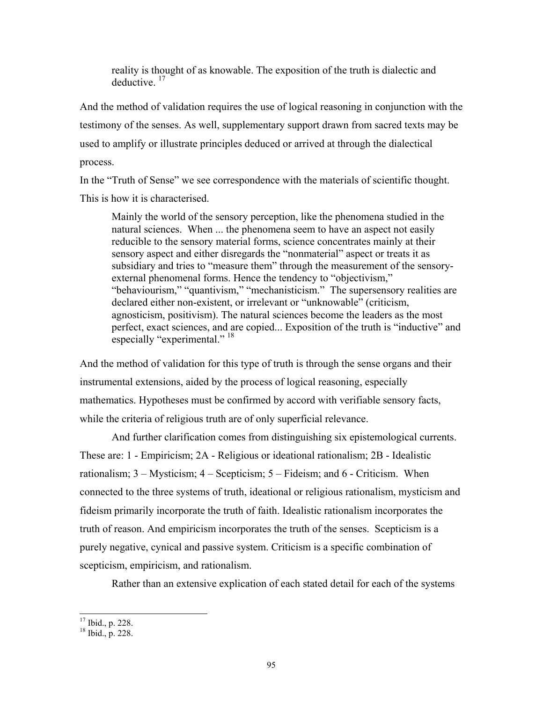reality is thought of as knowable. The exposition of the truth is dialectic and deductive. [17](#page-16-0)

And the method of validation requires the use of logical reasoning in conjunction with the testimony of the senses. As well, supplementary support drawn from sacred texts may be used to amplify or illustrate principles deduced or arrived at through the dialectical process.

In the "Truth of Sense" we see correspondence with the materials of scientific thought. This is how it is characterised.

Mainly the world of the sensory perception, like the phenomena studied in the natural sciences. When ... the phenomena seem to have an aspect not easily reducible to the sensory material forms, science concentrates mainly at their sensory aspect and either disregards the "nonmaterial" aspect or treats it as subsidiary and tries to "measure them" through the measurement of the sensoryexternal phenomenal forms. Hence the tendency to "objectivism," "behaviourism," "quantivism," "mechanisticism." The supersensory realities are declared either non-existent, or irrelevant or "unknowable" (criticism, agnosticism, positivism). The natural sciences become the leaders as the most perfect, exact sciences, and are copied... Exposition of the truth is "inductive" and especially "experimental." <sup>[18](#page-16-1)</sup>

And the method of validation for this type of truth is through the sense organs and their instrumental extensions, aided by the process of logical reasoning, especially mathematics. Hypotheses must be confirmed by accord with verifiable sensory facts, while the criteria of religious truth are of only superficial relevance.

And further clarification comes from distinguishing six epistemological currents. These are: 1 - Empiricism; 2A - Religious or ideational rationalism; 2B - Idealistic rationalism;  $3 -$ Mysticism;  $4 -$ Scepticism;  $5 -$ Fideism; and  $6 -$ Criticism. When connected to the three systems of truth, ideational or religious rationalism, mysticism and fideism primarily incorporate the truth of faith. Idealistic rationalism incorporates the truth of reason. And empiricism incorporates the truth of the senses. Scepticism is a purely negative, cynical and passive system. Criticism is a specific combination of scepticism, empiricism, and rationalism.

Rather than an extensive explication of each stated detail for each of the systems

<span id="page-16-0"></span> $17$  Ibid., p. 228.

<span id="page-16-1"></span> $18 \overline{1611}$ , p. 228.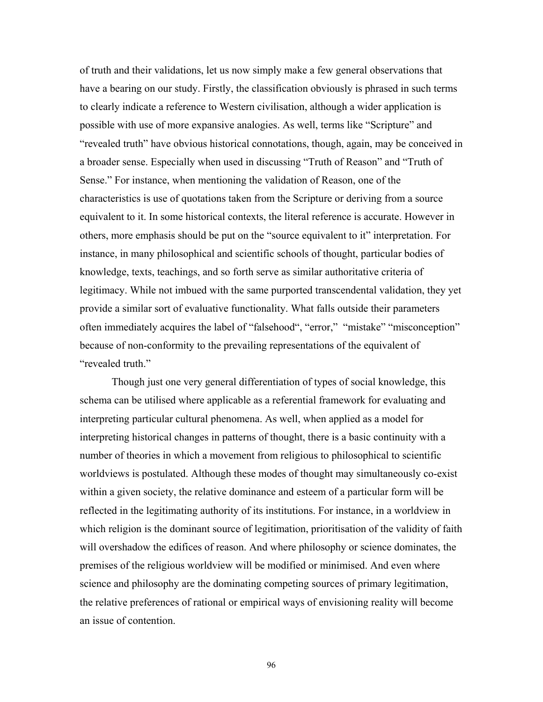of truth and their validations, let us now simply make a few general observations that have a bearing on our study. Firstly, the classification obviously is phrased in such terms to clearly indicate a reference to Western civilisation, although a wider application is possible with use of more expansive analogies. As well, terms like "Scripture" and "revealed truth" have obvious historical connotations, though, again, may be conceived in a broader sense. Especially when used in discussing "Truth of Reason" and "Truth of Sense." For instance, when mentioning the validation of Reason, one of the characteristics is use of quotations taken from the Scripture or deriving from a source equivalent to it. In some historical contexts, the literal reference is accurate. However in others, more emphasis should be put on the "source equivalent to it" interpretation. For instance, in many philosophical and scientific schools of thought, particular bodies of knowledge, texts, teachings, and so forth serve as similar authoritative criteria of legitimacy. While not imbued with the same purported transcendental validation, they yet provide a similar sort of evaluative functionality. What falls outside their parameters often immediately acquires the label of "falsehood", "error," "mistake" "misconception" because of non-conformity to the prevailing representations of the equivalent of "revealed truth."

Though just one very general differentiation of types of social knowledge, this schema can be utilised where applicable as a referential framework for evaluating and interpreting particular cultural phenomena. As well, when applied as a model for interpreting historical changes in patterns of thought, there is a basic continuity with a number of theories in which a movement from religious to philosophical to scientific worldviews is postulated. Although these modes of thought may simultaneously co-exist within a given society, the relative dominance and esteem of a particular form will be reflected in the legitimating authority of its institutions. For instance, in a worldview in which religion is the dominant source of legitimation, prioritisation of the validity of faith will overshadow the edifices of reason. And where philosophy or science dominates, the premises of the religious worldview will be modified or minimised. And even where science and philosophy are the dominating competing sources of primary legitimation, the relative preferences of rational or empirical ways of envisioning reality will become an issue of contention.

96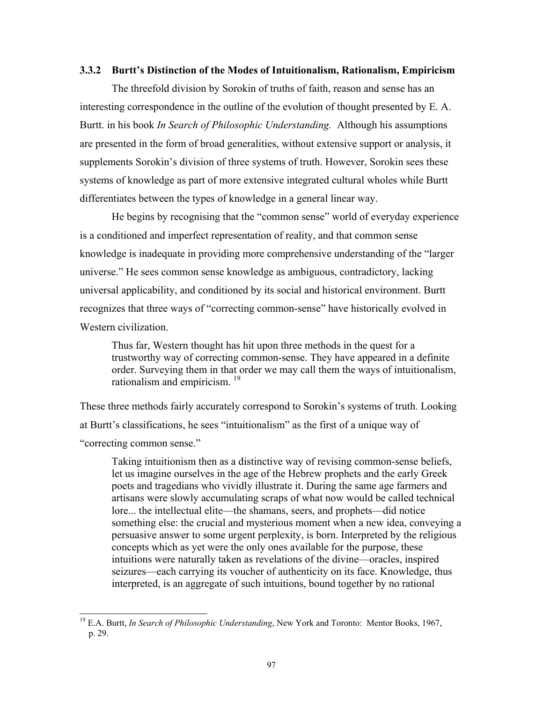#### **3.3.2 Burtt's Distinction of the Modes of Intuitionalism, Rationalism, Empiricism**

The threefold division by Sorokin of truths of faith, reason and sense has an interesting correspondence in the outline of the evolution of thought presented by E. A. Burtt. in his book *In Search of Philosophic Understanding.* Although his assumptions are presented in the form of broad generalities, without extensive support or analysis, it supplements Sorokin's division of three systems of truth. However, Sorokin sees these systems of knowledge as part of more extensive integrated cultural wholes while Burtt differentiates between the types of knowledge in a general linear way.

He begins by recognising that the "common sense" world of everyday experience is a conditioned and imperfect representation of reality, and that common sense knowledge is inadequate in providing more comprehensive understanding of the "larger universe." He sees common sense knowledge as ambiguous, contradictory, lacking universal applicability, and conditioned by its social and historical environment. Burtt recognizes that three ways of "correcting common-sense" have historically evolved in Western civilization.

Thus far, Western thought has hit upon three methods in the quest for a trustworthy way of correcting common-sense. They have appeared in a definite order. Surveying them in that order we may call them the ways of intuitionalism, rationalism and empiricism. [19](#page-18-0)

These three methods fairly accurately correspond to Sorokin's systems of truth. Looking at Burtt's classifications, he sees "intuitionalism" as the first of a unique way of "correcting common sense."

Taking intuitionism then as a distinctive way of revising common-sense beliefs, let us imagine ourselves in the age of the Hebrew prophets and the early Greek poets and tragedians who vividly illustrate it. During the same age farmers and artisans were slowly accumulating scraps of what now would be called technical lore... the intellectual elite—the shamans, seers, and prophets—did notice something else: the crucial and mysterious moment when a new idea, conveying a persuasive answer to some urgent perplexity, is born. Interpreted by the religious concepts which as yet were the only ones available for the purpose, these intuitions were naturally taken as revelations of the divine—oracles, inspired seizures—each carrying its voucher of authenticity on its face. Knowledge, thus interpreted, is an aggregate of such intuitions, bound together by no rational

<span id="page-18-0"></span><sup>19</sup> E.A. Burtt, *In Search of Philosophic Understanding*, New York and Toronto: Mentor Books, 1967, p. 29.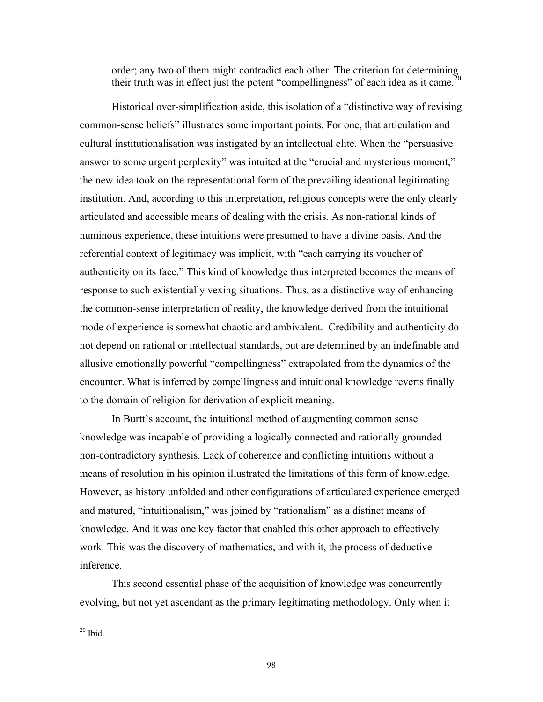order; any two of them might contradict each other. The criterion for determining their truth was in effect just the potent "compellingness" of each idea as it came.<sup>20</sup>

Historical over-simplification aside, this isolation of a "distinctive way of revising common-sense beliefs" illustrates some important points. For one, that articulation and cultural institutionalisation was instigated by an intellectual elite. When the "persuasive answer to some urgent perplexity" was intuited at the "crucial and mysterious moment," the new idea took on the representational form of the prevailing ideational legitimating institution. And, according to this interpretation, religious concepts were the only clearly articulated and accessible means of dealing with the crisis. As non-rational kinds of numinous experience, these intuitions were presumed to have a divine basis. And the referential context of legitimacy was implicit, with "each carrying its voucher of authenticity on its face." This kind of knowledge thus interpreted becomes the means of response to such existentially vexing situations. Thus, as a distinctive way of enhancing the common-sense interpretation of reality, the knowledge derived from the intuitional mode of experience is somewhat chaotic and ambivalent. Credibility and authenticity do not depend on rational or intellectual standards, but are determined by an indefinable and allusive emotionally powerful "compellingness" extrapolated from the dynamics of the encounter. What is inferred by compellingness and intuitional knowledge reverts finally to the domain of religion for derivation of explicit meaning.

In Burtt's account, the intuitional method of augmenting common sense knowledge was incapable of providing a logically connected and rationally grounded non-contradictory synthesis. Lack of coherence and conflicting intuitions without a means of resolution in his opinion illustrated the limitations of this form of knowledge. However, as history unfolded and other configurations of articulated experience emerged and matured, "intuitionalism," was joined by "rationalism" as a distinct means of knowledge. And it was one key factor that enabled this other approach to effectively work. This was the discovery of mathematics, and with it, the process of deductive inference.

This second essential phase of the acquisition of knowledge was concurrently evolving, but not yet ascendant as the primary legitimating methodology. Only when it

<span id="page-19-0"></span> $20$  Ibid.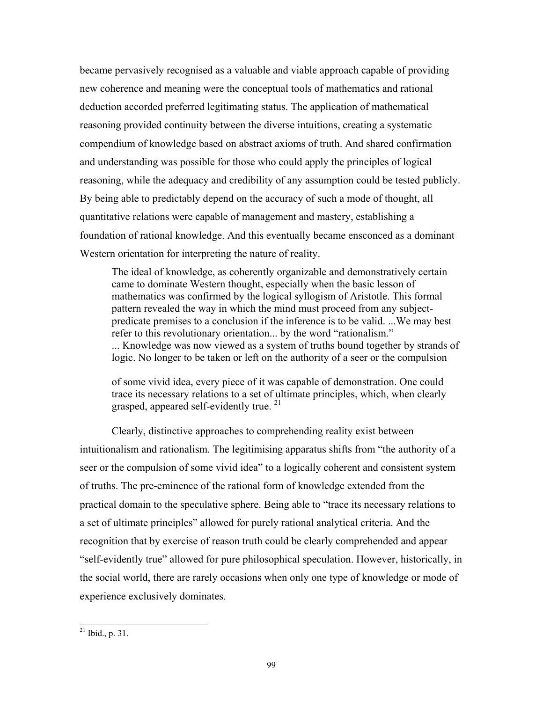became pervasively recognised as a valuable and viable approach capable of providing new coherence and meaning were the conceptual tools of mathematics and rational deduction accorded preferred legitimating status. The application of mathematical reasoning provided continuity between the diverse intuitions, creating a systematic compendium of knowledge based on abstract axioms of truth. And shared confirmation and understanding was possible for those who could apply the principles of logical reasoning, while the adequacy and credibility of any assumption could be tested publicly. By being able to predictably depend on the accuracy of such a mode of thought, all quantitative relations were capable of management and mastery, establishing a foundation of rational knowledge. And this eventually became ensconced as a dominant Western orientation for interpreting the nature of reality.

The ideal of knowledge, as coherently organizable and demonstratively certain came to dominate Western thought, especially when the basic lesson of mathematics was confirmed by the logical syllogism of Aristotle. This formal pattern revealed the way in which the mind must proceed from any subjectpredicate premises to a conclusion if the inference is to be valid. ...We may best refer to this revolutionary orientation... by the word "rationalism." ... Knowledge was now viewed as a system of truths bound together by strands of logic. No longer to be taken or left on the authority of a seer or the compulsion

of some vivid idea, every piece of it was capable of demonstration. One could trace its necessary relations to a set of [ult](#page-20-0)imate principles, which, when clearly grasped, appeared self-evidently true.<sup>21</sup>

Clearly, distinctive approaches to comprehending reality exist between intuitionalism and rationalism. The legitimising apparatus shifts from "the authority of a seer or the compulsion of some vivid idea" to a logically coherent and consistent system of truths. The pre-eminence of the rational form of knowledge extended from the practical domain to the speculative sphere. Being able to "trace its necessary relations to a set of ultimate principles" allowed for purely rational analytical criteria. And the recognition that by exercise of reason truth could be clearly comprehended and appear "self-evidently true" allowed for pure philosophical speculation. However, historically, in the social world, there are rarely occasions when only one type of knowledge or mode of experience exclusively dominates.

<span id="page-20-0"></span> $^{21}$  Ibid., p. 31.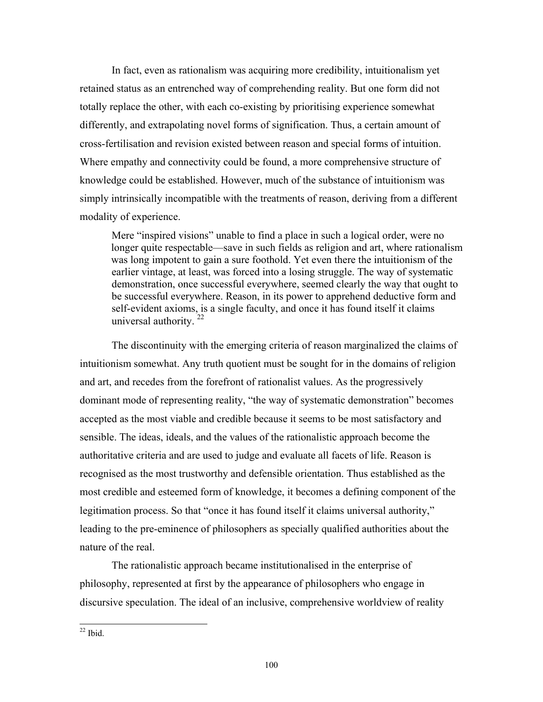In fact, even as rationalism was acquiring more credibility, intuitionalism yet retained status as an entrenched way of comprehending reality. But one form did not totally replace the other, with each co-existing by prioritising experience somewhat differently, and extrapolating novel forms of signification. Thus, a certain amount of cross-fertilisation and revision existed between reason and special forms of intuition. Where empathy and connectivity could be found, a more comprehensive structure of knowledge could be established. However, much of the substance of intuitionism was simply intrinsically incompatible with the treatments of reason, deriving from a different modality of experience.

Mere "inspired visions" unable to find a place in such a logical order, were no longer quite respectable—save in such fields as religion and art, where rationalism was long impotent to gain a sure foothold. Yet even there the intuitionism of the earlier vintage, at least, was forced into a losing struggle. The way of systematic demonstration, once successful everywhere, seemed clearly the way that ought to be successful every[wh](#page-21-0)ere. Reason, in its power to apprehend deductive form and self-evident axioms, is a single faculty, and once it has found itself it claims universal authority.  $22$ 

The discontinuity with the emerging criteria of reason marginalized the claims of intuitionism somewhat. Any truth quotient must be sought for in the domains of religion and art, and recedes from the forefront of rationalist values. As the progressively dominant mode of representing reality, "the way of systematic demonstration" becomes accepted as the most viable and credible because it seems to be most satisfactory and sensible. The ideas, ideals, and the values of the rationalistic approach become the authoritative criteria and are used to judge and evaluate all facets of life. Reason is recognised as the most trustworthy and defensible orientation. Thus established as the most credible and esteemed form of knowledge, it becomes a defining component of the legitimation process. So that "once it has found itself it claims universal authority," leading to the pre-eminence of philosophers as specially qualified authorities about the nature of the real.

The rationalistic approach became institutionalised in the enterprise of philosophy, represented at first by the appearance of philosophers who engage in discursive speculation. The ideal of an inclusive, comprehensive worldview of reality

<span id="page-21-0"></span> $22$  Ibid.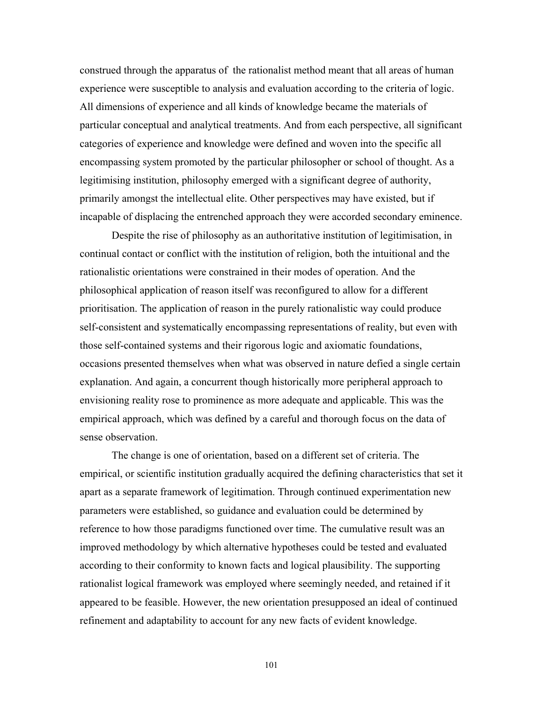construed through the apparatus of the rationalist method meant that all areas of human experience were susceptible to analysis and evaluation according to the criteria of logic. All dimensions of experience and all kinds of knowledge became the materials of particular conceptual and analytical treatments. And from each perspective, all significant categories of experience and knowledge were defined and woven into the specific all encompassing system promoted by the particular philosopher or school of thought. As a legitimising institution, philosophy emerged with a significant degree of authority, primarily amongst the intellectual elite. Other perspectives may have existed, but if incapable of displacing the entrenched approach they were accorded secondary eminence.

Despite the rise of philosophy as an authoritative institution of legitimisation, in continual contact or conflict with the institution of religion, both the intuitional and the rationalistic orientations were constrained in their modes of operation. And the philosophical application of reason itself was reconfigured to allow for a different prioritisation. The application of reason in the purely rationalistic way could produce self-consistent and systematically encompassing representations of reality, but even with those self-contained systems and their rigorous logic and axiomatic foundations, occasions presented themselves when what was observed in nature defied a single certain explanation. And again, a concurrent though historically more peripheral approach to envisioning reality rose to prominence as more adequate and applicable. This was the empirical approach, which was defined by a careful and thorough focus on the data of sense observation.

 The change is one of orientation, based on a different set of criteria. The empirical, or scientific institution gradually acquired the defining characteristics that set it apart as a separate framework of legitimation. Through continued experimentation new parameters were established, so guidance and evaluation could be determined by reference to how those paradigms functioned over time. The cumulative result was an improved methodology by which alternative hypotheses could be tested and evaluated according to their conformity to known facts and logical plausibility. The supporting rationalist logical framework was employed where seemingly needed, and retained if it appeared to be feasible. However, the new orientation presupposed an ideal of continued refinement and adaptability to account for any new facts of evident knowledge.

101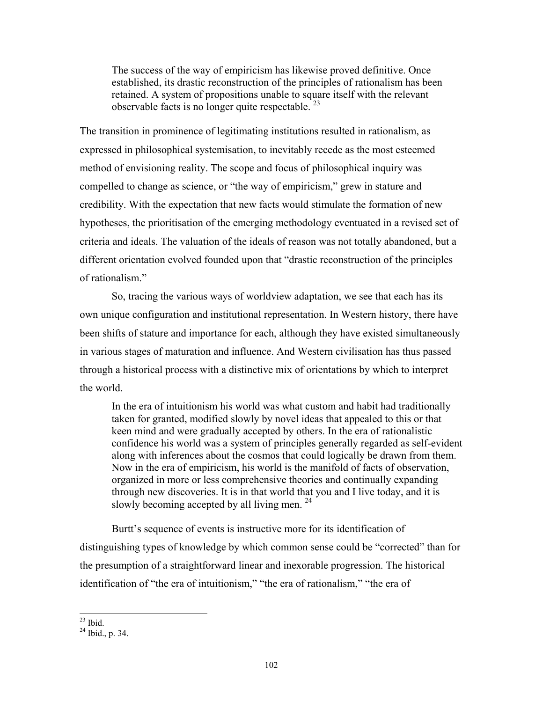The success of the way of empiricism has likewise proved definitive. Once established, its drastic reconstruction of the principles of rationalism has been retained. A system of propositions unable to sq[uar](#page-23-0)e itself with the relevant observable facts is no longer quite respectable.  $23$ 

The transition in prominence of legitimating institutions resulted in rationalism, as expressed in philosophical systemisation, to inevitably recede as the most esteemed method of envisioning reality. The scope and focus of philosophical inquiry was compelled to change as science, or "the way of empiricism," grew in stature and credibility. With the expectation that new facts would stimulate the formation of new hypotheses, the prioritisation of the emerging methodology eventuated in a revised set of criteria and ideals. The valuation of the ideals of reason was not totally abandoned, but a different orientation evolved founded upon that "drastic reconstruction of the principles of rationalism."

So, tracing the various ways of worldview adaptation, we see that each has its own unique configuration and institutional representation. In Western history, there have been shifts of stature and importance for each, although they have existed simultaneously in various stages of maturation and influence. And Western civilisation has thus passed through a historical process with a distinctive mix of orientations by which to interpret the world.

In the era of intuitionism his world was what custom and habit had traditionally taken for granted, modified slowly by novel ideas that appealed to this or that keen mind and were gradually accepted by others. In the era of rationalistic confidence his world was a system of principles generally regarded as self-evident along with inferences about the cosmos that could logically be drawn from them. Now in the era of empiricism, his world is the manifold of facts of observation, organized in more or less comprehensive theories and continually expanding through new discoveries. It is in that world t[hat](#page-23-1) you and I live today, and it is slowly becoming accepted by all living men.  $24$ 

 Burtt's sequence of events is instructive more for its identification of distinguishing types of knowledge by which common sense could be "corrected" than for the presumption of a straightforward linear and inexorable progression. The historical identification of "the era of intuitionism," "the era of rationalism," "the era of

<span id="page-23-0"></span> $^{23}$  Ibid.

<span id="page-23-1"></span> $^{24}$  Ibid., p. 34.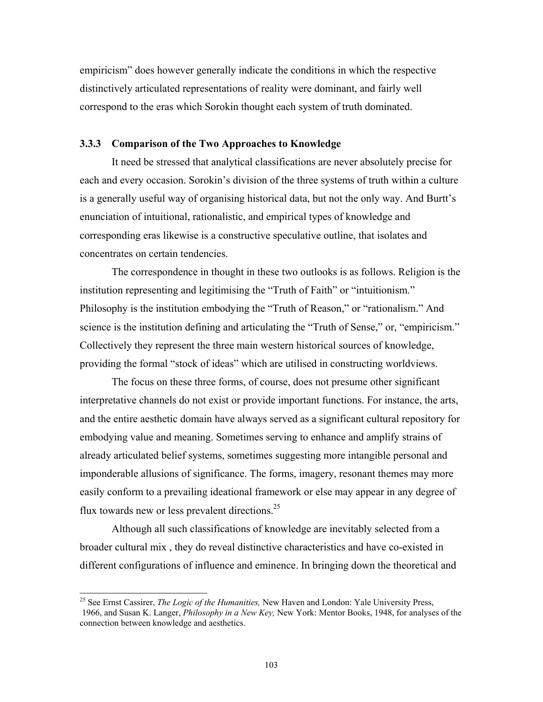empiricism" does however generally indicate the conditions in which the respective distinctively articulated representations of reality were dominant, and fairly well correspond to the eras which Sorokin thought each system of truth dominated.

#### **3.3.3 Comparison of the Two Approaches to Knowledge**

It need be stressed that analytical classifications are never absolutely precise for each and every occasion. Sorokin's division of the three systems of truth within a culture is a generally useful way of organising historical data, but not the only way. And Burtt's enunciation of intuitional, rationalistic, and empirical types of knowledge and corresponding eras likewise is a constructive speculative outline, that isolates and concentrates on certain tendencies.

The correspondence in thought in these two outlooks is as follows. Religion is the institution representing and legitimising the "Truth of Faith" or "intuitionism." Philosophy is the institution embodying the "Truth of Reason," or "rationalism." And science is the institution defining and articulating the "Truth of Sense," or, "empiricism." Collectively they represent the three main western historical sources of knowledge, providing the formal "stock of ideas" which are utilised in constructing worldviews.

The focus on these three forms, of course, does not presume other significant interpretative channels do not exist or provide important functions. For instance, the arts, and the entire aesthetic domain have always served as a significant cultural repository for embodying value and meaning. Sometimes serving to enhance and amplify strains of already articulated belief systems, sometimes suggesting more intangible personal and imponderable allusions of significance. The forms, imagery, resonant themes may more easily conform to a prevailing ideational fra[mew](#page-24-0)ork or else may appear in any degree of flux towards new or less prevalent directions. $25$ 

Although all such classifications of knowledge are inevitably selected from a broader cultural mix , they do reveal distinctive characteristics and have co-existed in different configurations of influence and eminence. In bringing down the theoretical and

<span id="page-24-0"></span><sup>25</sup> See Ernst Cassirer, *The Logic of the Humanities,* New Haven and London: Yale University Press, 1966, and Susan K. Langer, *Philosophy in a New Key,* New York: Mentor Books, 1948, for analyses of the connection between knowledge and aesthetics.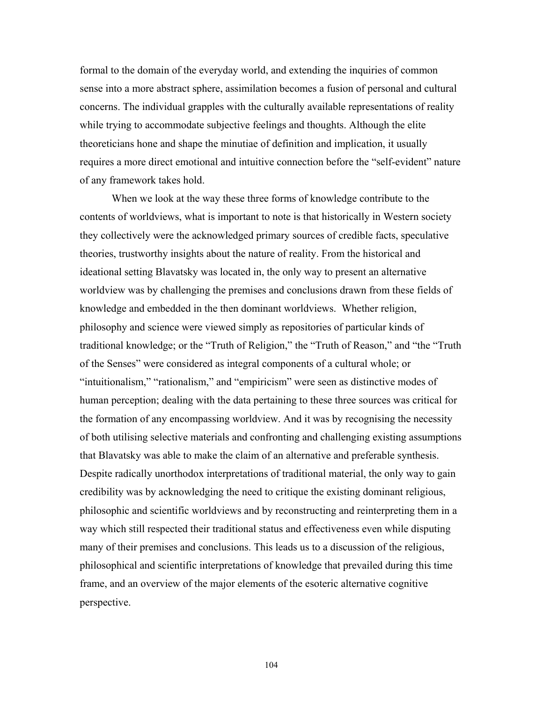formal to the domain of the everyday world, and extending the inquiries of common sense into a more abstract sphere, assimilation becomes a fusion of personal and cultural concerns. The individual grapples with the culturally available representations of reality while trying to accommodate subjective feelings and thoughts. Although the elite theoreticians hone and shape the minutiae of definition and implication, it usually requires a more direct emotional and intuitive connection before the "self-evident" nature of any framework takes hold.

When we look at the way these three forms of knowledge contribute to the contents of worldviews, what is important to note is that historically in Western society they collectively were the acknowledged primary sources of credible facts, speculative theories, trustworthy insights about the nature of reality. From the historical and ideational setting Blavatsky was located in, the only way to present an alternative worldview was by challenging the premises and conclusions drawn from these fields of knowledge and embedded in the then dominant worldviews. Whether religion, philosophy and science were viewed simply as repositories of particular kinds of traditional knowledge; or the "Truth of Religion," the "Truth of Reason," and "the "Truth of the Senses" were considered as integral components of a cultural whole; or "intuitionalism," "rationalism," and "empiricism" were seen as distinctive modes of human perception; dealing with the data pertaining to these three sources was critical for the formation of any encompassing worldview. And it was by recognising the necessity of both utilising selective materials and confronting and challenging existing assumptions that Blavatsky was able to make the claim of an alternative and preferable synthesis. Despite radically unorthodox interpretations of traditional material, the only way to gain credibility was by acknowledging the need to critique the existing dominant religious, philosophic and scientific worldviews and by reconstructing and reinterpreting them in a way which still respected their traditional status and effectiveness even while disputing many of their premises and conclusions. This leads us to a discussion of the religious, philosophical and scientific interpretations of knowledge that prevailed during this time frame, and an overview of the major elements of the esoteric alternative cognitive perspective.

104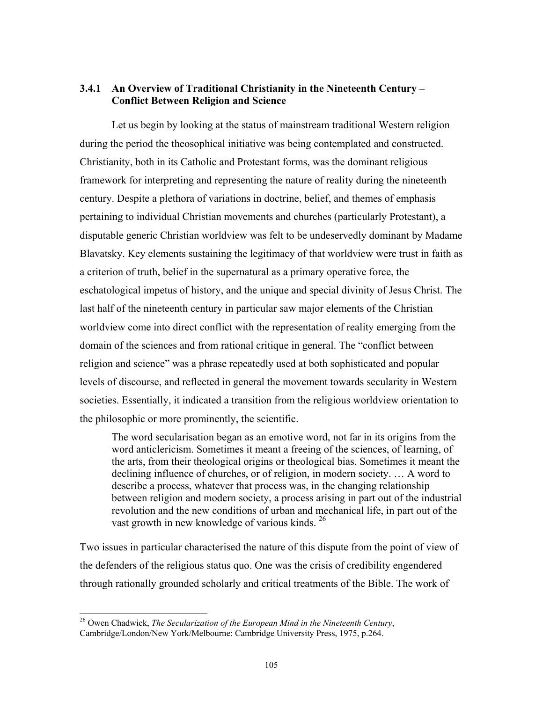# **3.4.1 An Overview of Traditional Christianity in the Nineteenth Century – Conflict Between Religion and Science**

Let us begin by looking at the status of mainstream traditional Western religion during the period the theosophical initiative was being contemplated and constructed. Christianity, both in its Catholic and Protestant forms, was the dominant religious framework for interpreting and representing the nature of reality during the nineteenth century. Despite a plethora of variations in doctrine, belief, and themes of emphasis pertaining to individual Christian movements and churches (particularly Protestant), a disputable generic Christian worldview was felt to be undeservedly dominant by Madame Blavatsky. Key elements sustaining the legitimacy of that worldview were trust in faith as a criterion of truth, belief in the supernatural as a primary operative force, the eschatological impetus of history, and the unique and special divinity of Jesus Christ. The last half of the nineteenth century in particular saw major elements of the Christian worldview come into direct conflict with the representation of reality emerging from the domain of the sciences and from rational critique in general. The "conflict between religion and science" was a phrase repeatedly used at both sophisticated and popular levels of discourse, and reflected in general the movement towards secularity in Western societies. Essentially, it indicated a transition from the religious worldview orientation to the philosophic or more prominently, the scientific.

The word secularisation began as an emotive word, not far in its origins from the word anticlericism. Sometimes it meant a freeing of the sciences, of learning, of the arts, from their theological origins or theological bias. Sometimes it meant the declining influence of churches, or of religion, in modern society. … A word to describe a process, whatever that process was, in the changing relationship between religion and modern society, a process [aris](#page-26-0)ing in part out of the industrial revolution and the new conditions of urban and mechanical life, in part out of the vast growth in new knowledge of various kinds.<sup>26</sup>

Two issues in particular characterised the nature of this dispute from the point of view of the defenders of the religious status quo. One was the crisis of credibility engendered through rationally grounded scholarly and critical treatments of the Bible. The work of

<span id="page-26-0"></span><sup>26</sup> Owen Chadwick, *The Secularization of the European Mind in the Nineteenth Century*, Cambridge/London/New York/Melbourne: Cambridge University Press, 1975, p.264.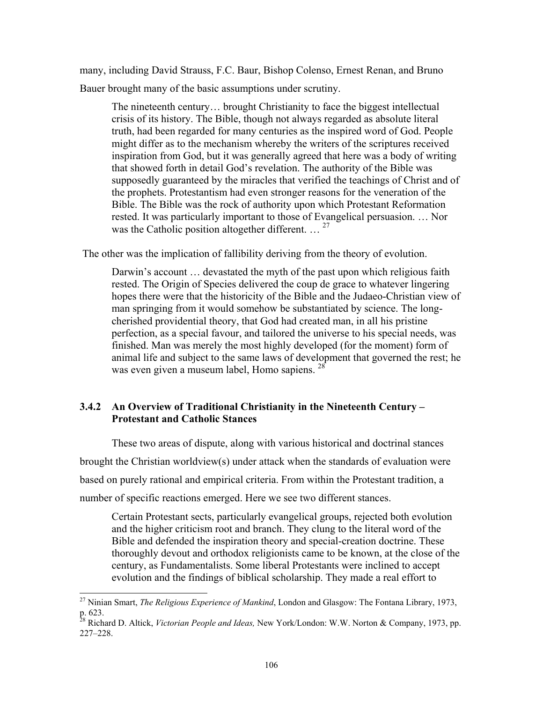many, including David Strauss, F.C. Baur, Bishop Colenso, Ernest Renan, and Bruno Bauer brought many of the basic assumptions under scrutiny.

The nineteenth century… brought Christianity to face the biggest intellectual crisis of its history. The Bible, though not always regarded as absolute literal truth, had been regarded for many centuries as the inspired word of God. People might differ as to the mechanism whereby the writers of the scriptures received inspiration from God, but it was generally agreed that here was a body of writing that showed forth in detail God's revelation. The authority of the Bible was supposedly guaranteed by the miracles that verified the teachings of Christ and of the prophets. Protestantism had even stronger reasons for the veneration of the Bible. The Bible was the rock of authority upon [whi](#page-27-0)ch Protestant Reformation rested. It was particularly important to those of Evangelical persuasion. … Nor was the Catholic position altogether different.  $\ldots$ <sup>27</sup>

The other was the implication of fallibility deriving from the theory of evolution.

Darwin's account … devastated the myth of the past upon which religious faith rested. The Origin of Species delivered the coup de grace to whatever lingering hopes there were that the historicity of the Bible and the Judaeo-Christian view of man springing from it would somehow be substantiated by science. The longcherished providential theory, that God had created man, in all his pristine perfection, as a special favour, and tailored the universe to his special needs, was finished. Man was merely the most highly devel[ope](#page-27-1)d (for the moment) form of animal life and subject to the same laws of development that governed the rest; he was even given a museum label, Homo sapiens. <sup>28</sup>

## **3.4.2 An Overview of Traditional Christianity in the Nineteenth Century – Protestant and Catholic Stances**

These two areas of dispute, along with various historical and doctrinal stances brought the Christian worldview(s) under attack when the standards of evaluation were based on purely rational and empirical criteria. From within the Protestant tradition, a number of specific reactions emerged. Here we see two different stances.

Certain Protestant sects, particularly evangelical groups, rejected both evolution and the higher criticism root and branch. They clung to the literal word of the Bible and defended the inspiration theory and special-creation doctrine. These thoroughly devout and orthodox religionists came to be known, at the close of the century, as Fundamentalists. Some liberal Protestants were inclined to accept evolution and the findings of biblical scholarship. They made a real effort to

<span id="page-27-0"></span><sup>27</sup> Ninian Smart, *The Religious Experience of Mankind*, London and Glasgow: The Fontana Library, 1973, p. 623.

<span id="page-27-1"></span><sup>28</sup> Richard D. Altick, *Victorian People and Ideas,* New York/London: W.W. Norton & Company, 1973, pp. 227–228.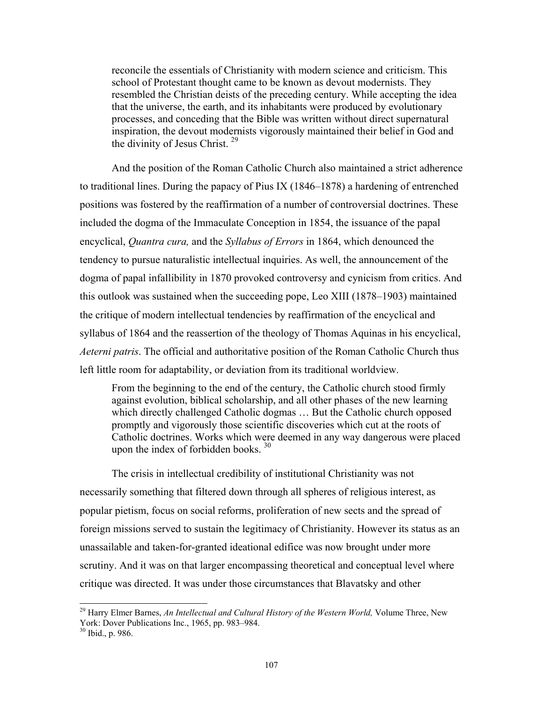reconcile the essentials of Christianity with modern science and criticism. This school of Protestant thought came to be known as devout modernists. They resembled the Christian deists of the preceding century. While accepting the idea that the universe, the earth, and its inhabitants were produced by evolutionary processes, and conceding that the Bible was written without direct supernatural inspiration, the devout mod[ern](#page-28-0)ists vigorously maintained their belief in God and the divinity of Jesus Christ.<sup>29</sup>

And the position of the Roman Catholic Church also maintained a strict adherence to traditional lines. During the papacy of Pius IX (1846–1878) a hardening of entrenched positions was fostered by the reaffirmation of a number of controversial doctrines. These included the dogma of the Immaculate Conception in 1854, the issuance of the papal encyclical, *Quantra cura,* and the *Syllabus of Errors* in 1864, which denounced the tendency to pursue naturalistic intellectual inquiries. As well, the announcement of the dogma of papal infallibility in 1870 provoked controversy and cynicism from critics. And this outlook was sustained when the succeeding pope, Leo XIII (1878–1903) maintained the critique of modern intellectual tendencies by reaffirmation of the encyclical and syllabus of 1864 and the reassertion of the theology of Thomas Aquinas in his encyclical, *Aeterni patris*. The official and authoritative position of the Roman Catholic Church thus left little room for adaptability, or deviation from its traditional worldview.

From the beginning to the end of the century, the Catholic church stood firmly against evolution, biblical scholarship, and all other phases of the new learning which directly challenged Catholic dogmas ... But the Catholic church opposed promptly and vigorously those scientific discoveries which cut at the roots of Catholic doctrines. Works which w[ere](#page-28-1) deemed in any way dangerous were placed upon the index of forbidden books.  $30$ 

The crisis in intellectual credibility of institutional Christianity was not necessarily something that filtered down through all spheres of religious interest, as popular pietism, focus on social reforms, proliferation of new sects and the spread of foreign missions served to sustain the legitimacy of Christianity. However its status as an unassailable and taken-for-granted ideational edifice was now brought under more scrutiny. And it was on that larger encompassing theoretical and conceptual level where critique was directed. It was under those circumstances that Blavatsky and other

l

<span id="page-28-1"></span><span id="page-28-0"></span><sup>&</sup>lt;sup>29</sup> Harry Elmer Barnes, *An Intellectual and Cultural History of the Western World*, Volume Three, New York: Dover Publications Inc., 1965, pp. 983–984.

 $30$  Ibid., p. 986.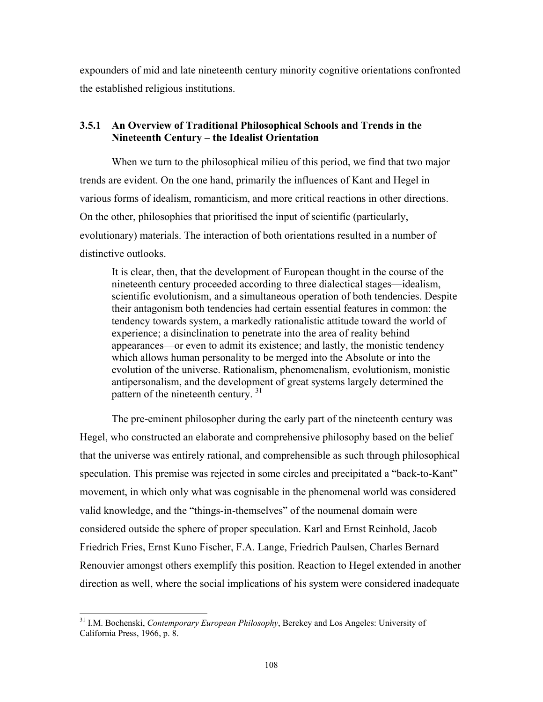expounders of mid and late nineteenth century minority cognitive orientations confronted the established religious institutions.

### **3.5.1 An Overview of Traditional Philosophical Schools and Trends in the Nineteenth Century – the Idealist Orientation**

When we turn to the philosophical milieu of this period, we find that two major trends are evident. On the one hand, primarily the influences of Kant and Hegel in various forms of idealism, romanticism, and more critical reactions in other directions. On the other, philosophies that prioritised the input of scientific (particularly, evolutionary) materials. The interaction of both orientations resulted in a number of distinctive outlooks.

It is clear, then, that the development of European thought in the course of the nineteenth century proceeded according to three dialectical stages—idealism, scientific evolutionism, and a simultaneous operation of both tendencies. Despite their antagonism both tendencies had certain essential features in common: the tendency towards system, a markedly rationalistic attitude toward the world of experience; a disinclination to penetrate into the area of reality behind appearances—or even to admit its existence; and lastly, the monistic tendency which allows human personality to be merged into the Absolute or into the evolution of the universe. Ration[alis](#page-29-0)m, phenomenalism, evolutionism, monistic antipersonalism, and the development of great systems largely determined the pattern of the nineteenth century. 31

The pre-eminent philosopher during the early part of the nineteenth century was Hegel, who constructed an elaborate and comprehensive philosophy based on the belief that the universe was entirely rational, and comprehensible as such through philosophical speculation. This premise was rejected in some circles and precipitated a "back-to-Kant" movement, in which only what was cognisable in the phenomenal world was considered valid knowledge, and the "things-in-themselves" of the noumenal domain were considered outside the sphere of proper speculation. Karl and Ernst Reinhold, Jacob Friedrich Fries, Ernst Kuno Fischer, F.A. Lange, Friedrich Paulsen, Charles Bernard Renouvier amongst others exemplify this position. Reaction to Hegel extended in another direction as well, where the social implications of his system were considered inadequate

<span id="page-29-0"></span><sup>31</sup> I.M. Bochenski, *Contemporary European Philosophy*, Berekey and Los Angeles: University of California Press, 1966, p. 8.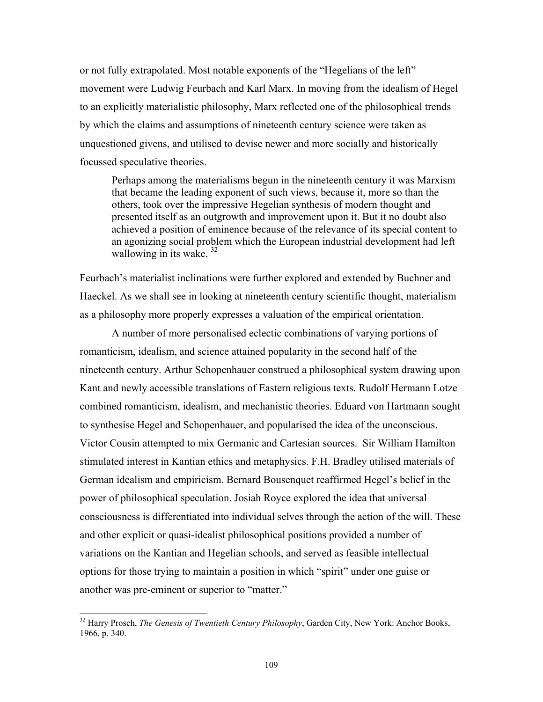or not fully extrapolated. Most notable exponents of the "Hegelians of the left" movement were Ludwig Feurbach and Karl Marx. In moving from the idealism of Hegel to an explicitly materialistic philosophy, Marx reflected one of the philosophical trends by which the claims and assumptions of nineteenth century science were taken as unquestioned givens, and utilised to devise newer and more socially and historically focussed speculative theories.

Perhaps among the materialisms begun in the nineteenth century it was Marxism that became the leading exponent of such views, because it, more so than the others, took over the impressive Hegelian synthesis of modern thought and presented itself as an outgrowth and improvement upon it. But it no doubt also achieved a position of [em](#page-30-0)inence because of the relevance of its special content to an agonizing social problem which the European industrial development had left wallowing in its wake.<sup>32</sup>

Feurbach's materialist inclinations were further explored and extended by Buchner and Haeckel. As we shall see in looking at nineteenth century scientific thought, materialism as a philosophy more properly expresses a valuation of the empirical orientation.

A number of more personalised eclectic combinations of varying portions of romanticism, idealism, and science attained popularity in the second half of the nineteenth century. Arthur Schopenhauer construed a philosophical system drawing upon Kant and newly accessible translations of Eastern religious texts. Rudolf Hermann Lotze combined romanticism, idealism, and mechanistic theories. Eduard von Hartmann sought to synthesise Hegel and Schopenhauer, and popularised the idea of the unconscious. Victor Cousin attempted to mix Germanic and Cartesian sources. Sir William Hamilton stimulated interest in Kantian ethics and metaphysics. F.H. Bradley utilised materials of German idealism and empiricism. Bernard Bousenquet reaffirmed Hegel's belief in the power of philosophical speculation. Josiah Royce explored the idea that universal consciousness is differentiated into individual selves through the action of the will. These and other explicit or quasi-idealist philosophical positions provided a number of variations on the Kantian and Hegelian schools, and served as feasible intellectual options for those trying to maintain a position in which "spirit" under one guise or another was pre-eminent or superior to "matter."

<span id="page-30-0"></span><sup>32</sup> Harry Prosch, *The Genesis of Twentieth Century Philosophy*, Garden City, New York: Anchor Books, 1966, p. 340.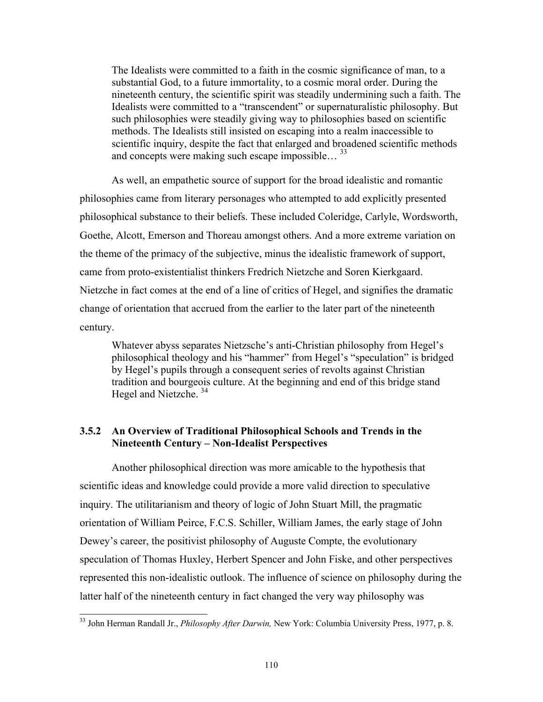The Idealists were committed to a faith in the cosmic significance of man, to a substantial God, to a future immortality, to a cosmic moral order. During the nineteenth century, the scientific spirit was steadily undermining such a faith. The Idealists were committed to a "transcendent" or supernaturalistic philosophy. But such philosophies were steadily giving way to philosophies based on scientific methods. The Idealists still insisted on escaping into a realm inaccessible to scientific inquiry, despite the fact that enlarged and b[roa](#page-31-0)dened scientific methods and concepts were making such escape impossible… 33

As well, an empathetic source of support for the broad idealistic and romantic philosophies came from literary personages who attempted to add explicitly presented philosophical substance to their beliefs. These included Coleridge, Carlyle, Wordsworth, Goethe, Alcott, Emerson and Thoreau amongst others. And a more extreme variation on the theme of the primacy of the subjective, minus the idealistic framework of support, came from proto-existentialist thinkers Fredrich Nietzche and Soren Kierkgaard. Nietzche in fact comes at the end of a line of critics of Hegel, and signifies the dramatic change of orientation that accrued from the earlier to the later part of the nineteenth century.

Whatever abyss separates Nietzsche's anti-Christian philosophy from Hegel's philosophical theology and his "hammer" from Hegel's "speculation" is bridged by Hegel's pupils through a consequent series of revolts against Christian tradition and bourge[ois](#page-31-1) culture. At the beginning and end of this bridge stand Hegel and Nietzche. 34

## **3.5.2 An Overview of Traditional Philosophical Schools and Trends in the Nineteenth Century – Non-Idealist Perspectives**

Another philosophical direction was more amicable to the hypothesis that scientific ideas and knowledge could provide a more valid direction to speculative inquiry. The utilitarianism and theory of logic of John Stuart Mill, the pragmatic orientation of William Peirce, F.C.S. Schiller, William James, the early stage of John Dewey's career, the positivist philosophy of Auguste Compte, the evolutionary speculation of Thomas Huxley, Herbert Spencer and John Fiske, and other perspectives represented this non-idealistic outlook. The influence of science on philosophy during the latter half of the nineteenth century in fact changed the very way philosophy was

<span id="page-31-1"></span><span id="page-31-0"></span><sup>33</sup> John Herman Randall Jr., *Philosophy After Darwin,* New York: Columbia University Press, 1977, p. 8.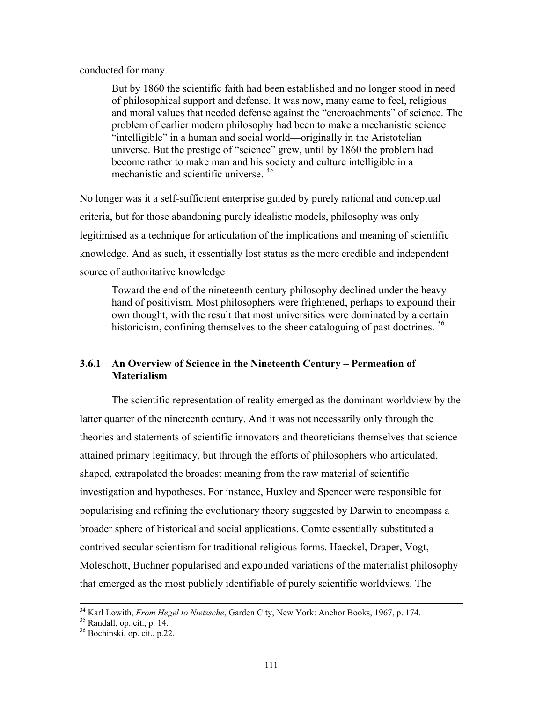conducted for many.

But by 1860 the scientific faith had been established and no longer stood in need of philosophical support and defense. It was now, many came to feel, religious and moral values that needed defense against the "encroachments" of science. The problem of earlier modern philosophy had been to make a mechanistic science "intelligible" in a human and social world—originally in the Aristotelian universe. But the prestige of "science" grew, until by 1860 the problem had become rather to make man and his society and culture intelligible in a mechanistic and scientific universe. [35](#page-32-0)

No longer was it a self-sufficient enterprise guided by purely rational and conceptual criteria, but for those abandoning purely idealistic models, philosophy was only legitimised as a technique for articulation of the implications and meaning of scientific knowledge. And as such, it essentially lost status as the more credible and independent source of authoritative knowledge

Toward the end of the nineteenth century philosophy declined under the heavy hand of positivism. Most philosophers were frightened, perhaps to expound their own thought, with the result that most universities were dominated by a certain historicism, confining themselves to the sheer cataloguing of past doctrines.<sup>[36](#page-32-1)</sup>

## **3.6.1 An Overview of Science in the Nineteenth Century – Permeation of Materialism**

The scientific representation of reality emerged as the dominant worldview by the latter quarter of the nineteenth century. And it was not necessarily only through the theories and statements of scientific innovators and theoreticians themselves that science attained primary legitimacy, but through the efforts of philosophers who articulated, shaped, extrapolated the broadest meaning from the raw material of scientific investigation and hypotheses. For instance, Huxley and Spencer were responsible for popularising and refining the evolutionary theory suggested by Darwin to encompass a broader sphere of historical and social applications. Comte essentially substituted a contrived secular scientism for traditional religious forms. Haeckel, Draper, Vogt, Moleschott, Buchner popularised and expounded variations of the materialist philosophy that emerged as the most publicly identifiable of purely scientific worldviews. The

<sup>&</sup>lt;sup>34</sup> Karl Lowith, *From Hegel to Nietzsche*, Garden City, New York: Anchor Books, 1967, p. 174.<br><sup>35</sup> Randall, op. cit., p. 14.<br><sup>36</sup> Bochinski, op. cit., p. 22.

<span id="page-32-0"></span>

<span id="page-32-1"></span>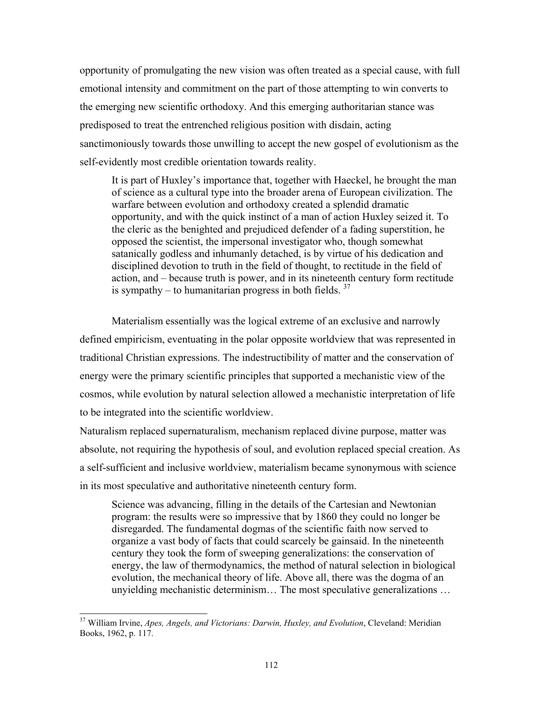opportunity of promulgating the new vision was often treated as a special cause, with full emotional intensity and commitment on the part of those attempting to win converts to the emerging new scientific orthodoxy. And this emerging authoritarian stance was predisposed to treat the entrenched religious position with disdain, acting sanctimoniously towards those unwilling to accept the new gospel of evolutionism as the self-evidently most credible orientation towards reality.

It is part of Huxley's importance that, together with Haeckel, he brought the man of science as a cultural type into the broader arena of European civilization. The warfare between evolution and orthodoxy created a splendid dramatic opportunity, and with the quick instinct of a man of action Huxley seized it. To the cleric as the benighted and prejudiced defender of a fading superstition, he opposed the scientist, the impersonal investigator who, though somewhat satanically godless and inhumanly detached, is by virtue of his dedication and disciplined devotion to truth in the field of thought, to rectitude in the field of action, and – because truth is power, and in its nineteenth century form rectitude is sympathy – to humanitarian progress in both fields.  $37$ 

Materialism essentially was the logical extreme of an exclusive and narrowly defined empiricism, eventuating in the polar opposite worldview that was represented in traditional Christian expressions. The indestructibility of matter and the conservation of energy were the primary scientific principles that supported a mechanistic view of the cosmos, while evolution by natural selection allowed a mechanistic interpretation of life to be integrated into the scientific worldview.

Naturalism replaced supernaturalism, mechanism replaced divine purpose, matter was absolute, not requiring the hypothesis of soul, and evolution replaced special creation. As a self-sufficient and inclusive worldview, materialism became synonymous with science in its most speculative and authoritative nineteenth century form.

Science was advancing, filling in the details of the Cartesian and Newtonian program: the results were so impressive that by 1860 they could no longer be disregarded. The fundamental dogmas of the scientific faith now served to organize a vast body of facts that could scarcely be gainsaid. In the nineteenth century they took the form of sweeping generalizations: the conservation of energy, the law of thermodynamics, the method of natural selection in biological evolution, the mechanical theory of life. Above all, there was the dogma of an unyielding mechanistic determinism… The most speculative generalizations …

<span id="page-33-0"></span><sup>37</sup> William Irvine, *Apes, Angels, and Victorians: Darwin, Huxley, and Evolution*, Cleveland: Meridian Books, 1962, p. 117.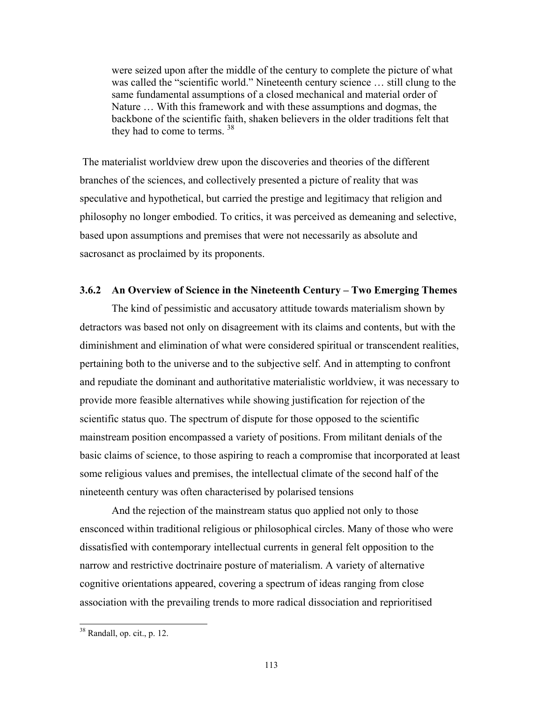were seized upon after the middle of the century to complete the picture of what was called the "scientific world." Nineteenth century science … still clung to the same fundamental assumptions of a closed mechanical and material order of Nature … With this framework and with these assumptions and dogmas, the backbone of the scientific faith, shaken believers in the older traditions felt that they had to come to terms. <sup>[38](#page-34-0)</sup>

 The materialist worldview drew upon the discoveries and theories of the different branches of the sciences, and collectively presented a picture of reality that was speculative and hypothetical, but carried the prestige and legitimacy that religion and philosophy no longer embodied. To critics, it was perceived as demeaning and selective, based upon assumptions and premises that were not necessarily as absolute and sacrosanct as proclaimed by its proponents.

### **3.6.2 An Overview of Science in the Nineteenth Century – Two Emerging Themes**

The kind of pessimistic and accusatory attitude towards materialism shown by detractors was based not only on disagreement with its claims and contents, but with the diminishment and elimination of what were considered spiritual or transcendent realities, pertaining both to the universe and to the subjective self. And in attempting to confront and repudiate the dominant and authoritative materialistic worldview, it was necessary to provide more feasible alternatives while showing justification for rejection of the scientific status quo. The spectrum of dispute for those opposed to the scientific mainstream position encompassed a variety of positions. From militant denials of the basic claims of science, to those aspiring to reach a compromise that incorporated at least some religious values and premises, the intellectual climate of the second half of the nineteenth century was often characterised by polarised tensions

And the rejection of the mainstream status quo applied not only to those ensconced within traditional religious or philosophical circles. Many of those who were dissatisfied with contemporary intellectual currents in general felt opposition to the narrow and restrictive doctrinaire posture of materialism. A variety of alternative cognitive orientations appeared, covering a spectrum of ideas ranging from close association with the prevailing trends to more radical dissociation and reprioritised

<span id="page-34-0"></span><sup>38</sup> Randall, op. cit., p. 12.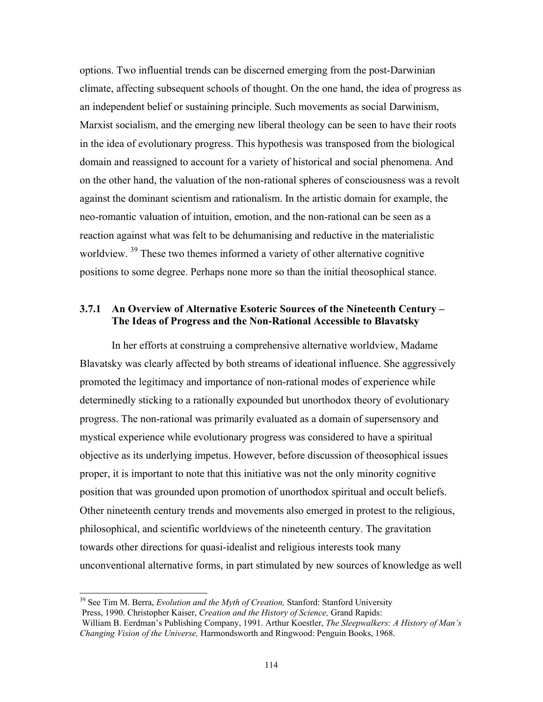options. Two influential trends can be discerned emerging from the post-Darwinian climate, affecting subsequent schools of thought. On the one hand, the idea of progress as an independent belief or sustaining principle. Such movements as social Darwinism, Marxist socialism, and the emerging new liberal theology can be seen to have their roots in the idea of evolutionary progress. This hypothesis was transposed from the biological domain and reassigned to account for a variety of historical and social phenomena. And on the other hand, the valuation of the non-rational spheres of consciousness was a revolt against the dominant scientism and rationalism. In the artistic domain for example, the neo-romantic valuation of intuition, emotion, and the non-rational can be seen as a reaction against what was felt to be dehumanising and reductive in the materialistic worldview. <sup>39</sup> These two themes informed a variety of other alternative cognitive positions to some degree. Perhaps none more so than the initial theosophical stance.

### **3.7.1 An Overview of Alternative Esoteric Sources of the Nineteenth Century – The Ideas of Progress and the Non-Rational Accessible to Blavatsky**

In her efforts at construing a comprehensive alternative worldview, Madame Blavatsky was clearly affected by both streams of ideational influence. She aggressively promoted the legitimacy and importance of non-rational modes of experience while determinedly sticking to a rationally expounded but unorthodox theory of evolutionary progress. The non-rational was primarily evaluated as a domain of supersensory and mystical experience while evolutionary progress was considered to have a spiritual objective as its underlying impetus. However, before discussion of theosophical issues proper, it is important to note that this initiative was not the only minority cognitive position that was grounded upon promotion of unorthodox spiritual and occult beliefs. Other nineteenth century trends and movements also emerged in protest to the religious, philosophical, and scientific worldviews of the nineteenth century. The gravitation towards other directions for quasi-idealist and religious interests took many unconventional alternative forms, in part stimulated by new sources of knowledge as well

<span id="page-35-0"></span><sup>39</sup> See Tim M. Berra, *Evolution and the Myth of Creation,* Stanford: Stanford University Press, 1990. Christopher Kaiser, *Creation and the History of Science,* Grand Rapids: William B. Eerdman's Publishing Company, 1991. Arthur Koestler, *The Sleepwalkers: A History of Man's*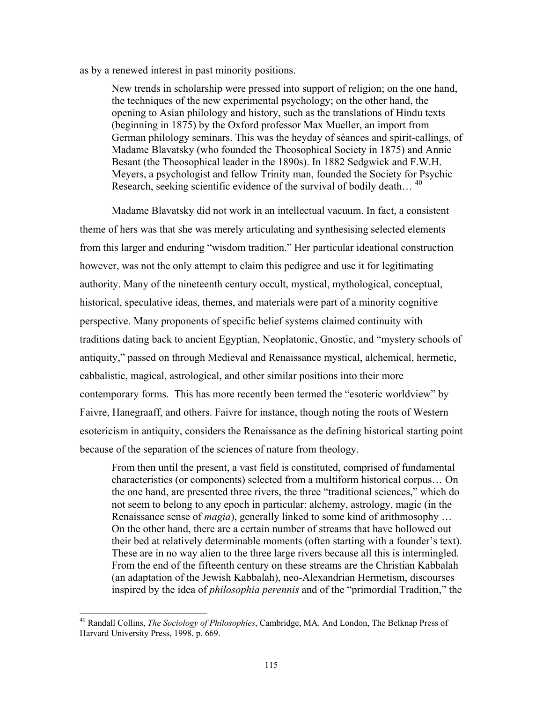#### as by a renewed interest in past minority positions.

New trends in scholarship were pressed into support of religion; on the one hand, the techniques of the new experimental psychology; on the other hand, the opening to Asian philology and history, such as the translations of Hindu texts (beginning in 1875) by the Oxford professor Max Mueller, an import from German philology seminars. This was the heyday of séances and spirit-callings, of Madame Blavatsky (who founded the Theosophical Society in 1875) and Annie Besant (the Theosophical leader in the 1890s). In 1882 Sedgwick and F.W.H. Meyers, a psychologist and fellow Trinity man, founded the Society for Psychic Research, seeking scientific evidence of the survival of bodily death...<sup>[40](#page-36-0)</sup>

Madame Blavatsky did not work in an intellectual vacuum. In fact, a consistent theme of hers was that she was merely articulating and synthesising selected elements from this larger and enduring "wisdom tradition." Her particular ideational construction however, was not the only attempt to claim this pedigree and use it for legitimating authority. Many of the nineteenth century occult, mystical, mythological, conceptual, historical, speculative ideas, themes, and materials were part of a minority cognitive perspective. Many proponents of specific belief systems claimed continuity with traditions dating back to ancient Egyptian, Neoplatonic, Gnostic, and "mystery schools of antiquity," passed on through Medieval and Renaissance mystical, alchemical, hermetic, cabbalistic, magical, astrological, and other similar positions into their more contemporary forms. This has more recently been termed the "esoteric worldview" by Faivre, Hanegraaff, and others. Faivre for instance, though noting the roots of Western esotericism in antiquity, considers the Renaissance as the defining historical starting point because of the separation of the sciences of nature from theology.

From then until the present, a vast field is constituted, comprised of fundamental characteristics (or components) selected from a multiform historical corpus… On the one hand, are presented three rivers, the three "traditional sciences," which do not seem to belong to any epoch in particular: alchemy, astrology, magic (in the Renaissance sense of *magia*), generally linked to some kind of arithmosophy … On the other hand, there are a certain number of streams that have hollowed out their bed at relatively determinable moments (often starting with a founder's text). These are in no way alien to the three large rivers because all this is intermingled. From the end of the fifteenth century on these streams are the Christian Kabbalah (an adaptation of the Jewish Kabbalah), neo-Alexandrian Hermetism, discourses inspired by the idea of *philosophia perennis* and of the "primordial Tradition," the

<span id="page-36-0"></span><sup>40</sup> Randall Collins, *The Sociology of Philosophies*, Cambridge, MA. And London, The Belknap Press of Harvard University Press, 1998, p. 669.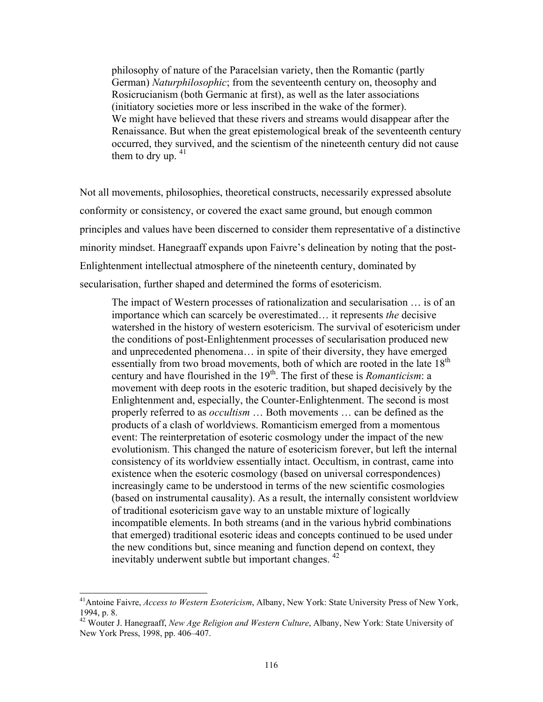philosophy of nature of the Paracelsian variety, then the Romantic (partly German) *Naturphilosophic*; from the seventeenth century on, theosophy and Rosicrucianism (both Germanic at first), as well as the later associations (initiatory societies more or less inscribed in the wake of the former). We might have believed that these rivers and streams would disappear after the Renaissance. But when the great epistemological break of the seventeenth century occurred, they survived, and the scientism of the nineteenth century did not cause them to dry up.  $41$ 

Not all movements, philosophies, theoretical constructs, necessarily expressed absolute conformity or consistency, or covered the exact same ground, but enough common principles and values have been discerned to consider them representative of a distinctive minority mindset. Hanegraaff expands upon Faivre's delineation by noting that the post-Enlightenment intellectual atmosphere of the nineteenth century, dominated by secularisation, further shaped and determined the forms of esotericism.

The impact of Western processes of rationalization and secularisation … is of an importance which can scarcely be overestimated… it represents *the* decisive watershed in the history of western esotericism. The survival of esotericism under the conditions of post-Enlightenment processes of secularisation produced new and unprecedented phenomena… in spite of their diversity, they have emerged essentially from two broad movements, both of which are rooted in the late  $18<sup>th</sup>$ century and have flourished in the 19<sup>th</sup>. The first of these is *Romanticism*: a movement with deep roots in the esoteric tradition, but shaped decisively by the Enlightenment and, especially, the Counter-Enlightenment. The second is most properly referred to as *occultism* … Both movements … can be defined as the products of a clash of worldviews. Romanticism emerged from a momentous event: The reinterpretation of esoteric cosmology under the impact of the new evolutionism. This changed the nature of esotericism forever, but left the internal consistency of its worldview essentially intact. Occultism, in contrast, came into existence when the esoteric cosmology (based on universal correspondences) increasingly came to be understood in terms of the new scientific cosmologies (based on instrumental causality). As a result, the internally consistent worldview of traditional esotericism gave way to an unstable mixture of logically incompatible elements. In both streams (and in the various hybrid combinations that emerged) traditional esoteric ideas and concepts continued to be used under the new conditions but, since meaning and function depend on context, they inevitably underwent subtle but important changes. [42](#page-37-1)

<span id="page-37-0"></span><sup>41</sup>Antoine Faivre, *Access to Western Esotericism*, Albany, New York: State University Press of New York, 1994, p. 8.

<span id="page-37-1"></span><sup>42</sup> Wouter J. Hanegraaff, *New Age Religion and Western Culture*, Albany, New York: State University of New York Press, 1998, pp. 406–407.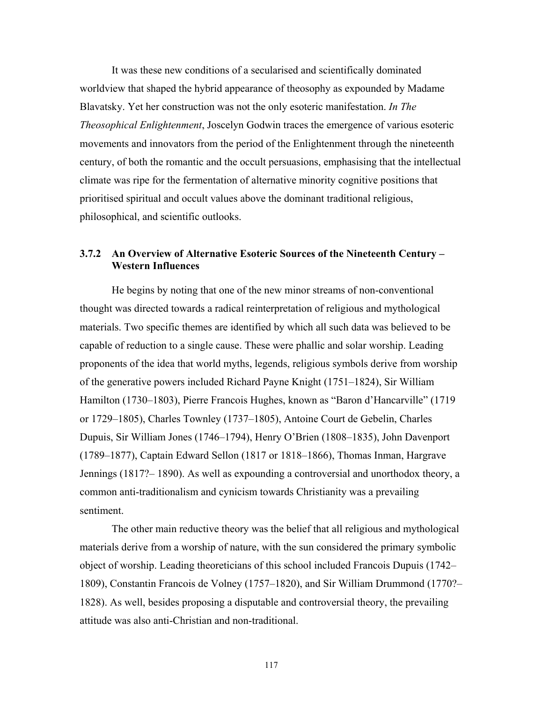It was these new conditions of a secularised and scientifically dominated worldview that shaped the hybrid appearance of theosophy as expounded by Madame Blavatsky. Yet her construction was not the only esoteric manifestation. *In The Theosophical Enlightenment*, Joscelyn Godwin traces the emergence of various esoteric movements and innovators from the period of the Enlightenment through the nineteenth century, of both the romantic and the occult persuasions, emphasising that the intellectual climate was ripe for the fermentation of alternative minority cognitive positions that prioritised spiritual and occult values above the dominant traditional religious, philosophical, and scientific outlooks.

## **3.7.2 An Overview of Alternative Esoteric Sources of the Nineteenth Century – Western Influences**

He begins by noting that one of the new minor streams of non-conventional thought was directed towards a radical reinterpretation of religious and mythological materials. Two specific themes are identified by which all such data was believed to be capable of reduction to a single cause. These were phallic and solar worship. Leading proponents of the idea that world myths, legends, religious symbols derive from worship of the generative powers included Richard Payne Knight (1751–1824), Sir William Hamilton (1730–1803), Pierre Francois Hughes, known as "Baron d'Hancarville" (1719 or 1729–1805), Charles Townley (1737–1805), Antoine Court de Gebelin, Charles Dupuis, Sir William Jones (1746–1794), Henry O'Brien (1808–1835), John Davenport (1789–1877), Captain Edward Sellon (1817 or 1818–1866), Thomas Inman, Hargrave Jennings (1817?– 1890). As well as expounding a controversial and unorthodox theory, a common anti-traditionalism and cynicism towards Christianity was a prevailing sentiment.

The other main reductive theory was the belief that all religious and mythological materials derive from a worship of nature, with the sun considered the primary symbolic object of worship. Leading theoreticians of this school included Francois Dupuis (1742– 1809), Constantin Francois de Volney (1757–1820), and Sir William Drummond (1770?– 1828). As well, besides proposing a disputable and controversial theory, the prevailing attitude was also anti-Christian and non-traditional.

117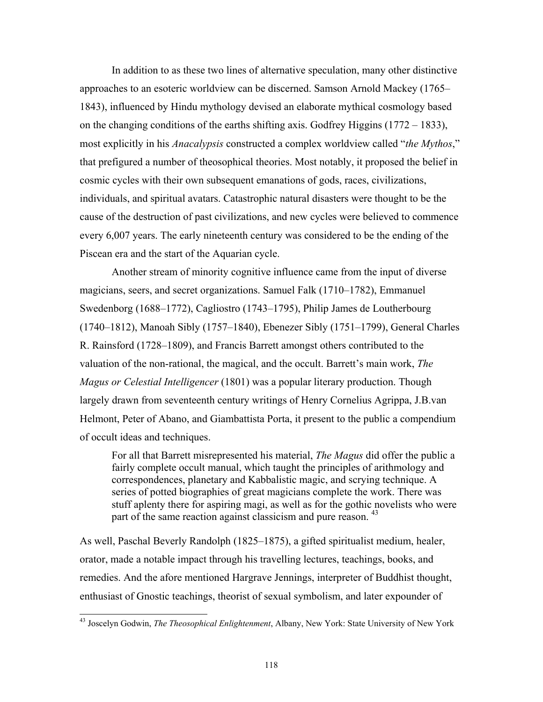<span id="page-39-0"></span>In addition to as these two lines of alternative speculation, many other distinctive approaches to an esoteric worldview can be discerned. Samson Arnold Mackey (1765– 1843), influenced by Hindu mythology devised an elaborate mythical cosmology based on the changing conditions of the earths shifting axis. Godfrey Higgins (1772 – 1833), most explicitly in his *Anacalypsis* constructed a complex worldview called "*the Mythos*," that prefigured a number of theosophical theories. Most notably, it proposed the belief in cosmic cycles with their own subsequent emanations of gods, races, civilizations, individuals, and spiritual avatars. Catastrophic natural disasters were thought to be the cause of the destruction of past civilizations, and new cycles were believed to commence every 6,007 years. The early nineteenth century was considered to be the ending of the Piscean era and the start of the Aquarian cycle.

Another stream of minority cognitive influence came from the input of diverse magicians, seers, and secret organizations. Samuel Falk (1710–1782), Emmanuel Swedenborg (1688–1772), Cagliostro (1743–1795), Philip James de Loutherbourg (1740–1812), Manoah Sibly (1757–1840), Ebenezer Sibly (1751–1799), General Charles R. Rainsford (1728–1809), and Francis Barrett amongst others contributed to the valuation of the non-rational, the magical, and the occult. Barrett's main work, *The Magus or Celestial Intelligencer* (1801) was a popular literary production. Though largely drawn from seventeenth century writings of Henry Cornelius Agrippa, J.B.van Helmont, Peter of Abano, and Giambattista Porta, it present to the public a compendium of occult ideas and techniques.

For all that Barrett misrepresented his material, *The Magus* did offer the public a fairly complete occult manual, which taught the principles of arithmology and correspondences, planetary and Kabbalistic magic, and scrying technique. A series of potted biographies of great magicians complete the work. There was stuff aplenty there for aspiring magi, as well as for the gothic novelists who were part of the same reaction against classicism and pure reason.<sup>[43](#page-39-0)</sup>

As well, Paschal Beverly Randolph (1825–1875), a gifted spiritualist medium, healer, orator, made a notable impact through his travelling lectures, teachings, books, and remedies. And the afore mentioned Hargrave Jennings, interpreter of Buddhist thought, enthusiast of Gnostic teachings, theorist of sexual symbolism, and later expounder of

<sup>43</sup> Joscelyn Godwin, *The Theosophical Enlightenment*, Albany, New York: State University of New York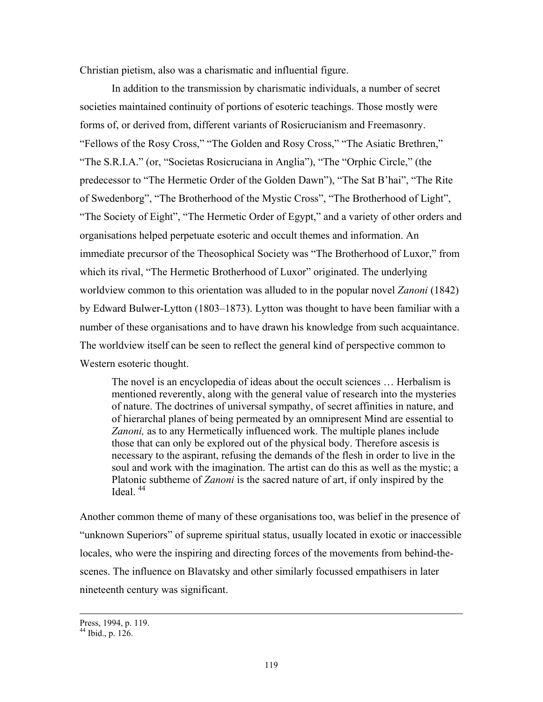Christian pietism, also was a charismatic and influential figure.

In addition to the transmission by charismatic individuals, a number of secret societies maintained continuity of portions of esoteric teachings. Those mostly were forms of, or derived from, different variants of Rosicrucianism and Freemasonry. "Fellows of the Rosy Cross," "The Golden and Rosy Cross," "The Asiatic Brethren," "The S.R.I.A." (or, "Societas Rosicruciana in Anglia"), "The "Orphic Circle," (the predecessor to "The Hermetic Order of the Golden Dawn"), "The Sat B'hai", "The Rite of Swedenborg", "The Brotherhood of the Mystic Cross", "The Brotherhood of Light", "The Society of Eight", "The Hermetic Order of Egypt," and a variety of other orders and organisations helped perpetuate esoteric and occult themes and information. An immediate precursor of the Theosophical Society was "The Brotherhood of Luxor," from which its rival, "The Hermetic Brotherhood of Luxor" originated. The underlying worldview common to this orientation was alluded to in the popular novel *Zanoni* (1842) by Edward Bulwer-Lytton (1803–1873). Lytton was thought to have been familiar with a number of these organisations and to have drawn his knowledge from such acquaintance. The worldview itself can be seen to reflect the general kind of perspective common to Western esoteric thought.

The novel is an encyclopedia of ideas about the occult sciences … Herbalism is mentioned reverently, along with the general value of research into the mysteries of nature. The doctrines of universal sympathy, of secret affinities in nature, and of hierarchal planes of being permeated by an omnipresent Mind are essential to *Zanoni,* as to any Hermetically influenced work. The multiple planes include those that can only be explored out of the physical body. Therefore ascesis is necessary to the aspirant, refusing the demands of the flesh in order to live in the soul and work with the imagination. The artist can do this as well as the mystic; a Platonic subtheme of *Zanoni* is the sacred nature of art, if only inspired by the Ideal $^{44}$ 

Another common theme of many of these organisations too, was belief in the presence of "unknown Superiors" of supreme spiritual status, usually located in exotic or inaccessible locales, who were the inspiring and directing forces of the movements from behind-thescenes. The influence on Blavatsky and other similarly focussed empathisers in later nineteenth century was significant.

Press, 1994, p. 119.

<span id="page-40-0"></span><sup>44</sup> Ibid., p. 126.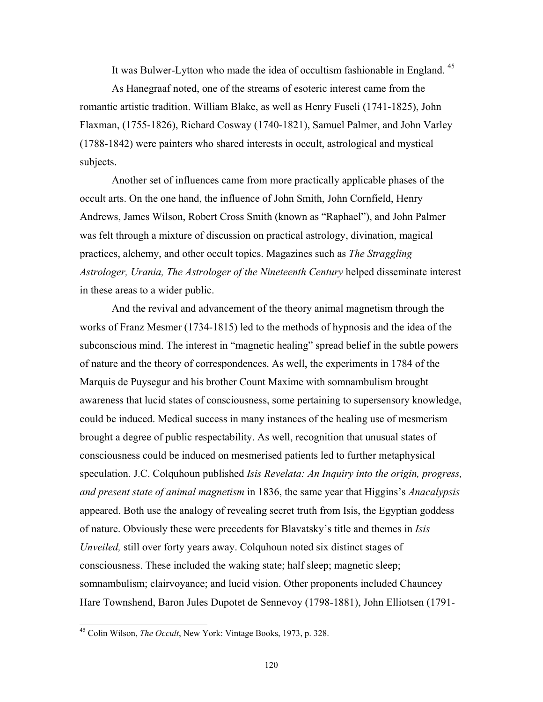It was Bulwer-Lytton who made the idea of occultism fashionable in England.<sup>[45](#page-41-0)</sup>

As Hanegraaf noted, one of the streams of esoteric interest came from the romantic artistic tradition. William Blake, as well as Henry Fuseli (1741-1825), John Flaxman, (1755-1826), Richard Cosway (1740-1821), Samuel Palmer, and John Varley (1788-1842) were painters who shared interests in occult, astrological and mystical subjects.

Another set of influences came from more practically applicable phases of the occult arts. On the one hand, the influence of John Smith, John Cornfield, Henry Andrews, James Wilson, Robert Cross Smith (known as "Raphael"), and John Palmer was felt through a mixture of discussion on practical astrology, divination, magical practices, alchemy, and other occult topics. Magazines such as *The Straggling Astrologer, Urania, The Astrologer of the Nineteenth Century* helped disseminate interest in these areas to a wider public.

And the revival and advancement of the theory animal magnetism through the works of Franz Mesmer (1734-1815) led to the methods of hypnosis and the idea of the subconscious mind. The interest in "magnetic healing" spread belief in the subtle powers of nature and the theory of correspondences. As well, the experiments in 1784 of the Marquis de Puysegur and his brother Count Maxime with somnambulism brought awareness that lucid states of consciousness, some pertaining to supersensory knowledge, could be induced. Medical success in many instances of the healing use of mesmerism brought a degree of public respectability. As well, recognition that unusual states of consciousness could be induced on mesmerised patients led to further metaphysical speculation. J.C. Colquhoun published *Isis Revelata: An Inquiry into the origin, progress, and present state of animal magnetism* in 1836, the same year that Higgins's *Anacalypsis* appeared. Both use the analogy of revealing secret truth from Isis, the Egyptian goddess of nature. Obviously these were precedents for Blavatsky's title and themes in *Isis Unveiled,* still over forty years away. Colquhoun noted six distinct stages of consciousness. These included the waking state; half sleep; magnetic sleep; somnambulism; clairvoyance; and lucid vision. Other proponents included Chauncey Hare Townshend, Baron Jules Dupotet de Sennevoy (1798-1881), John Elliotsen (1791-

<span id="page-41-0"></span><sup>45</sup> Colin Wilson, *The Occult*, New York: Vintage Books, 1973, p. 328.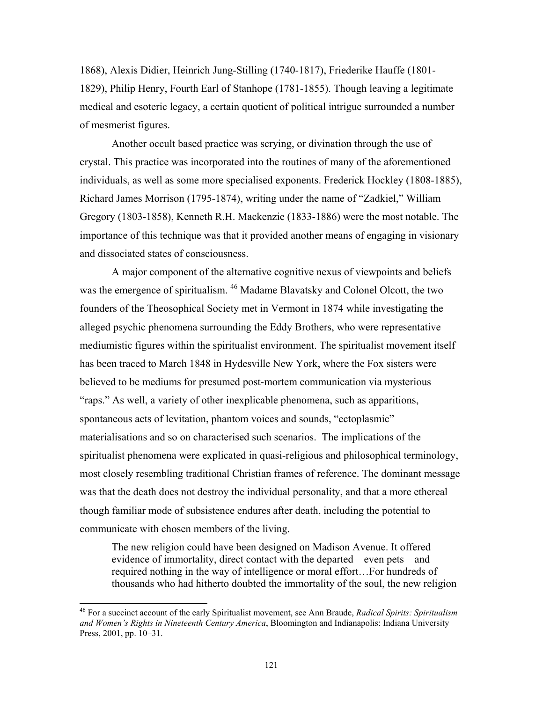1868), Alexis Didier, Heinrich Jung-Stilling (1740-1817), Friederike Hauffe (1801- 1829), Philip Henry, Fourth Earl of Stanhope (1781-1855). Though leaving a legitimate medical and esoteric legacy, a certain quotient of political intrigue surrounded a number of mesmerist figures.

Another occult based practice was scrying, or divination through the use of crystal. This practice was incorporated into the routines of many of the aforementioned individuals, as well as some more specialised exponents. Frederick Hockley (1808-1885), Richard James Morrison (1795-1874), writing under the name of "Zadkiel," William Gregory (1803-1858), Kenneth R.H. Mackenzie (1833-1886) were the most notable. The importance of this technique was that it provided another means of engaging in visionary and dissociated states of consciousness.

A major component of the alternative cognitive nexus of viewpoints and beliefs was the emergence of spiritualism. [46 M](#page-42-0)adame Blavatsky and Colonel Olcott, the two founders of the Theosophical Society met in Vermont in 1874 while investigating the alleged psychic phenomena surrounding the Eddy Brothers, who were representative mediumistic figures within the spiritualist environment. The spiritualist movement itself has been traced to March 1848 in Hydesville New York, where the Fox sisters were believed to be mediums for presumed post-mortem communication via mysterious "raps." As well, a variety of other inexplicable phenomena, such as apparitions, spontaneous acts of levitation, phantom voices and sounds, "ectoplasmic" materialisations and so on characterised such scenarios. The implications of the spiritualist phenomena were explicated in quasi-religious and philosophical terminology, most closely resembling traditional Christian frames of reference. The dominant message was that the death does not destroy the individual personality, and that a more ethereal though familiar mode of subsistence endures after death, including the potential to communicate with chosen members of the living.

The new religion could have been designed on Madison Avenue. It offered evidence of immortality, direct contact with the departed—even pets—and required nothing in the way of intelligence or moral effort…For hundreds of thousands who had hitherto doubted the immortality of the soul, the new religion

l

<span id="page-42-0"></span><sup>46</sup> For a succinct account of the early Spiritualist movement, see Ann Braude, *Radical Spirits: Spiritualism and Women's Rights in Nineteenth Century America*, Bloomington and Indianapolis: Indiana University Press, 2001, pp. 10–31.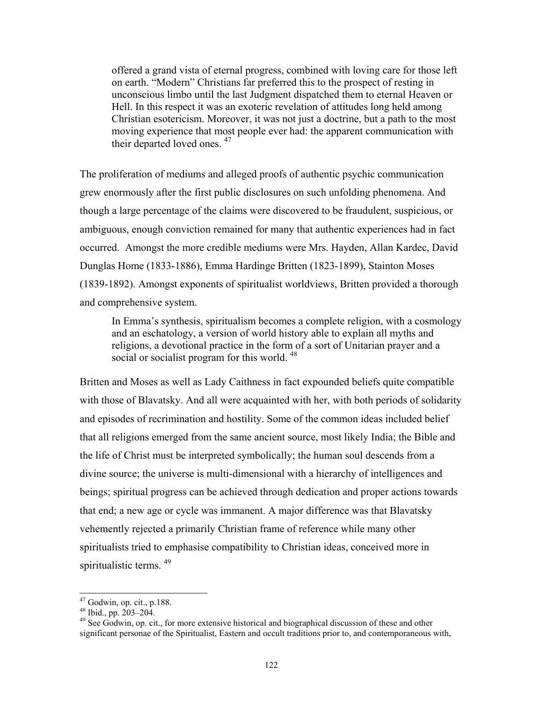<span id="page-43-2"></span>offered a grand vista of eternal progress, combined with loving care for those left on earth. "Modern" Christians far preferred this to the prospect of resting in unconscious limbo until the last Judgment dispatched them to eternal Heaven or Hell. In this respect it was an exoteric revelation of attitudes long held among Christian esotericism. Moreover, it was not just a doctrine, but a path to the most moving experience that most people ever had: the apparent communication with their departed loved ones. <sup>47</sup>

The proliferation of mediums and alleged proofs of authentic psychic communication grew enormously after the first public disclosures on such unfolding phenomena. And though a large percentage of the claims were discovered to be fraudulent, suspicious, or ambiguous, enough conviction remained for many that authentic experiences had in fact occurred. Amongst the more credible mediums were Mrs. Hayden, Allan Kardec, David Dunglas Home (1833-1886), Emma Hardinge Britten (1823-1899), Stainton Moses (1839-1892). Amongst exponents of spiritualist worldviews, Britten provided a thorough and comprehensive system.

In Emma's synthesis, spiritualism becomes a complete religion, with a cosmology and an eschatology, a version of world history able to explain all myths and religions, a devotional practice in the form of a sort of Unitarian prayer and a social or socialist program for this world.<sup>[48](#page-43-1)</sup>

Britten and Moses as well as Lady Caithness in fact expounded beliefs quite compatible with those of Blavatsky. And all were acquainted with her, with both periods of solidarity and episodes of recrimination and hostility. Some of the common ideas included belief that all religions emerged from the same ancient source, most likely India; the Bible and the life of Christ must be interpreted symbolically; the human soul descends from a divine source; the universe is multi-dimensional with a hierarchy of intelligences and beings; spiritual progress can be achieved through dedication and proper actions towards that end; a new age or cycle was immanent. A major difference was that Blavatsky vehemently rejected a primarily Christian frame of reference while many other spiritualists tried to emphasise compatibility to Christian ideas, conceived more in spiritualistic terms. <sup>[49](#page-43-2)</sup>

<span id="page-43-0"></span> $47$  Godwin, op. cit., p.188.

<span id="page-43-1"></span>

<sup>&</sup>lt;sup>48</sup> Ibid., pp. 203–204.<br><sup>49</sup> See Godwin, op. cit., for more extensive historical and biographical discussion of these and other significant personae of the Spiritualist, Eastern and occult traditions prior to, and contemporaneous with,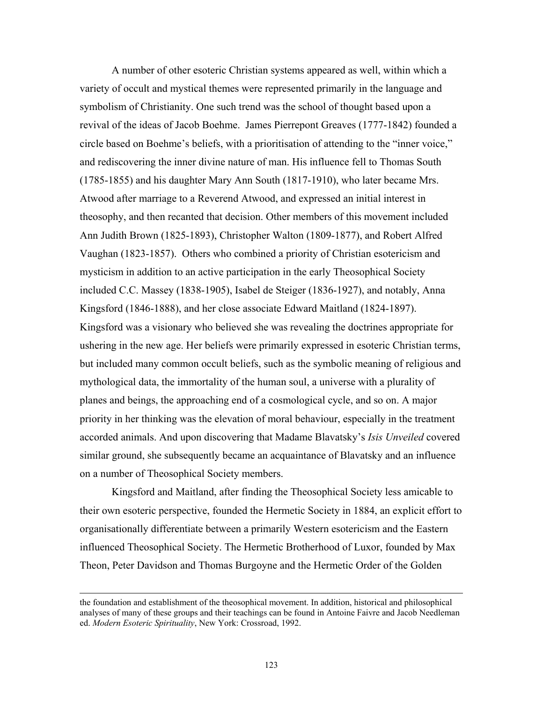A number of other esoteric Christian systems appeared as well, within which a variety of occult and mystical themes were represented primarily in the language and symbolism of Christianity. One such trend was the school of thought based upon a revival of the ideas of Jacob Boehme. James Pierrepont Greaves (1777-1842) founded a circle based on Boehme's beliefs, with a prioritisation of attending to the "inner voice," and rediscovering the inner divine nature of man. His influence fell to Thomas South (1785-1855) and his daughter Mary Ann South (1817-1910), who later became Mrs. Atwood after marriage to a Reverend Atwood, and expressed an initial interest in theosophy, and then recanted that decision. Other members of this movement included Ann Judith Brown (1825-1893), Christopher Walton (1809-1877), and Robert Alfred Vaughan (1823-1857). Others who combined a priority of Christian esotericism and mysticism in addition to an active participation in the early Theosophical Society included C.C. Massey (1838-1905), Isabel de Steiger (1836-1927), and notably, Anna Kingsford (1846-1888), and her close associate Edward Maitland (1824-1897). Kingsford was a visionary who believed she was revealing the doctrines appropriate for ushering in the new age. Her beliefs were primarily expressed in esoteric Christian terms, but included many common occult beliefs, such as the symbolic meaning of religious and mythological data, the immortality of the human soul, a universe with a plurality of planes and beings, the approaching end of a cosmological cycle, and so on. A major priority in her thinking was the elevation of moral behaviour, especially in the treatment accorded animals. And upon discovering that Madame Blavatsky's *Isis Unveiled* covered similar ground, she subsequently became an acquaintance of Blavatsky and an influence on a number of Theosophical Society members.

Kingsford and Maitland, after finding the Theosophical Society less amicable to their own esoteric perspective, founded the Hermetic Society in 1884, an explicit effort to organisationally differentiate between a primarily Western esotericism and the Eastern influenced Theosophical Society. The Hermetic Brotherhood of Luxor, founded by Max Theon, Peter Davidson and Thomas Burgoyne and the Hermetic Order of the Golden

the foundation and establishment of the theosophical movement. In addition, historical and philosophical analyses of many of these groups and their teachings can be found in Antoine Faivre and Jacob Needleman ed. *Modern Esoteric Spirituality*, New York: Crossroad, 1992.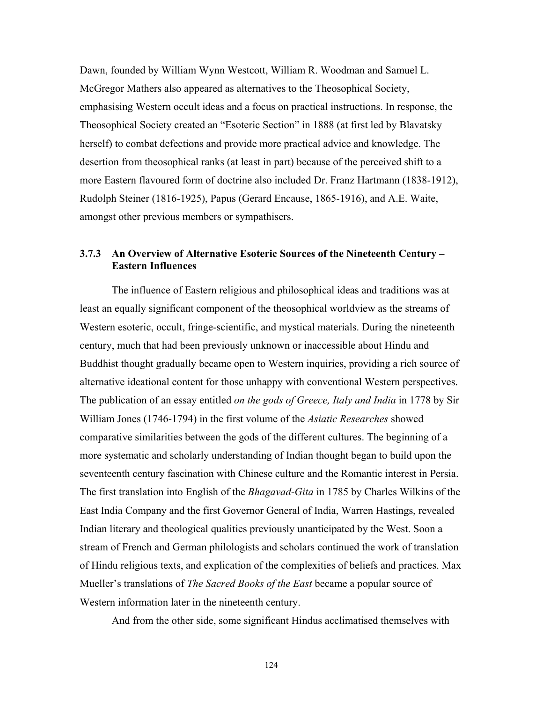Dawn, founded by William Wynn Westcott, William R. Woodman and Samuel L. McGregor Mathers also appeared as alternatives to the Theosophical Society, emphasising Western occult ideas and a focus on practical instructions. In response, the Theosophical Society created an "Esoteric Section" in 1888 (at first led by Blavatsky herself) to combat defections and provide more practical advice and knowledge. The desertion from theosophical ranks (at least in part) because of the perceived shift to a more Eastern flavoured form of doctrine also included Dr. Franz Hartmann (1838-1912), Rudolph Steiner (1816-1925), Papus (Gerard Encause, 1865-1916), and A.E. Waite, amongst other previous members or sympathisers.

# **3.7.3 An Overview of Alternative Esoteric Sources of the Nineteenth Century – Eastern Influences**

The influence of Eastern religious and philosophical ideas and traditions was at least an equally significant component of the theosophical worldview as the streams of Western esoteric, occult, fringe-scientific, and mystical materials. During the nineteenth century, much that had been previously unknown or inaccessible about Hindu and Buddhist thought gradually became open to Western inquiries, providing a rich source of alternative ideational content for those unhappy with conventional Western perspectives. The publication of an essay entitled *on the gods of Greece, Italy and India* in 1778 by Sir William Jones (1746-1794) in the first volume of the *Asiatic Researches* showed comparative similarities between the gods of the different cultures. The beginning of a more systematic and scholarly understanding of Indian thought began to build upon the seventeenth century fascination with Chinese culture and the Romantic interest in Persia. The first translation into English of the *Bhagavad-Gita* in 1785 by Charles Wilkins of the East India Company and the first Governor General of India, Warren Hastings, revealed Indian literary and theological qualities previously unanticipated by the West. Soon a stream of French and German philologists and scholars continued the work of translation of Hindu religious texts, and explication of the complexities of beliefs and practices. Max Mueller's translations of *The Sacred Books of the East* became a popular source of Western information later in the nineteenth century.

And from the other side, some significant Hindus acclimatised themselves with

124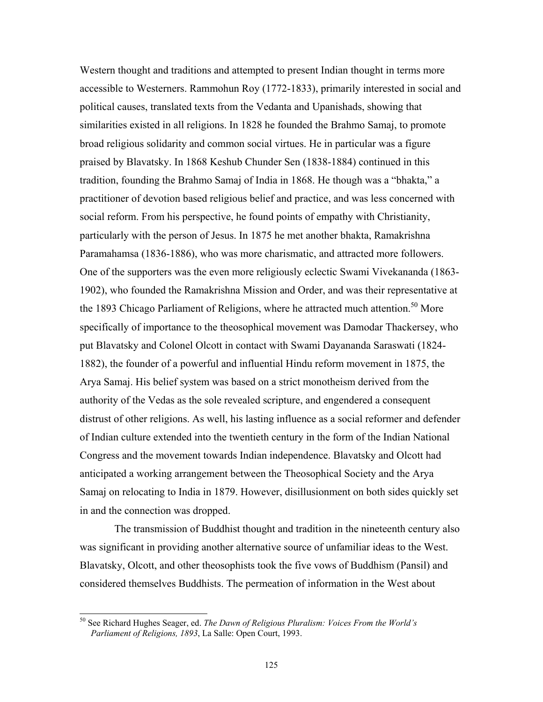Western thought and traditions and attempted to present Indian thought in terms more accessible to Westerners. Rammohun Roy (1772-1833), primarily interested in social and political causes, translated texts from the Vedanta and Upanishads, showing that similarities existed in all religions. In 1828 he founded the Brahmo Samaj, to promote broad religious solidarity and common social virtues. He in particular was a figure praised by Blavatsky. In 1868 Keshub Chunder Sen (1838-1884) continued in this tradition, founding the Brahmo Samaj of India in 1868. He though was a "bhakta," a practitioner of devotion based religious belief and practice, and was less concerned with social reform. From his perspective, he found points of empathy with Christianity, particularly with the person of Jesus. In 1875 he met another bhakta, Ramakrishna Paramahamsa (1836-1886), who was more charismatic, and attracted more followers. One of the supporters was the even more religiously eclectic Swami Vivekananda (1863- 1902), who founded the Ramakrishna Mission and Order, and was their representative at the 1893 Chicago Parliament of Religions, where he attracted much attention.<sup>50</sup> More specifically of importance to the theosophical movement was Damodar Thackersey, who put Blavatsky and Colonel Olcott in contact with Swami Dayananda Saraswati (1824- 1882), the founder of a powerful and influential Hindu reform movement in 1875, the Arya Samaj. His belief system was based on a strict monotheism derived from the authority of the Vedas as the sole revealed scripture, and engendered a consequent distrust of other religions. As well, his lasting influence as a social reformer and defender of Indian culture extended into the twentieth century in the form of the Indian National Congress and the movement towards Indian independence. Blavatsky and Olcott had anticipated a working arrangement between the Theosophical Society and the Arya Samaj on relocating to India in 1879. However, disillusionment on both sides quickly set in and the connection was dropped.

 The transmission of Buddhist thought and tradition in the nineteenth century also was significant in providing another alternative source of unfamiliar ideas to the West. Blavatsky, Olcott, and other theosophists took the five vows of Buddhism (Pansil) and considered themselves Buddhists. The permeation of information in the West about

<span id="page-46-0"></span><sup>50</sup> See Richard Hughes Seager, ed. *The Dawn of Religious Pluralism: Voices From the World's Parliament of Religions, 1893*, La Salle: Open Court, 1993.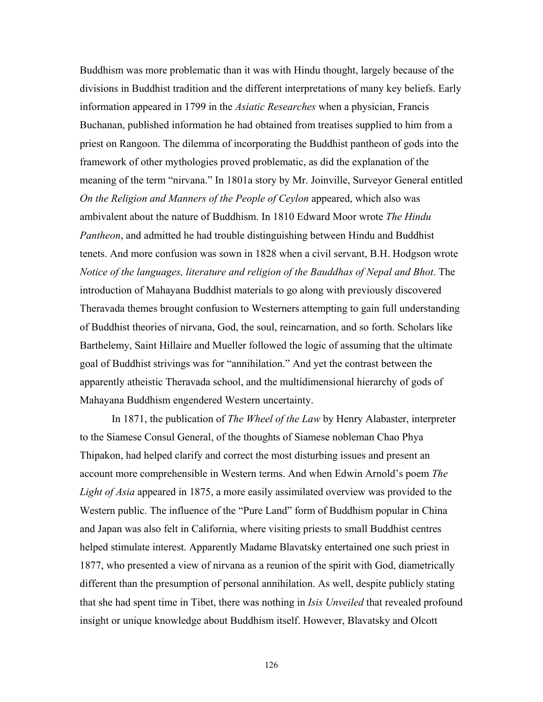Buddhism was more problematic than it was with Hindu thought, largely because of the divisions in Buddhist tradition and the different interpretations of many key beliefs. Early information appeared in 1799 in the *Asiatic Researches* when a physician, Francis Buchanan, published information he had obtained from treatises supplied to him from a priest on Rangoon. The dilemma of incorporating the Buddhist pantheon of gods into the framework of other mythologies proved problematic, as did the explanation of the meaning of the term "nirvana." In 1801a story by Mr. Joinville, Surveyor General entitled *On the Religion and Manners of the People of Ceylon* appeared, which also was ambivalent about the nature of Buddhism. In 1810 Edward Moor wrote *The Hindu Pantheon*, and admitted he had trouble distinguishing between Hindu and Buddhist tenets. And more confusion was sown in 1828 when a civil servant, B.H. Hodgson wrote *Notice of the languages, literature and religion of the Bauddhas of Nepal and Bhot*. The introduction of Mahayana Buddhist materials to go along with previously discovered Theravada themes brought confusion to Westerners attempting to gain full understanding of Buddhist theories of nirvana, God, the soul, reincarnation, and so forth. Scholars like Barthelemy, Saint Hillaire and Mueller followed the logic of assuming that the ultimate goal of Buddhist strivings was for "annihilation." And yet the contrast between the apparently atheistic Theravada school, and the multidimensional hierarchy of gods of Mahayana Buddhism engendered Western uncertainty.

In 1871, the publication of *The Wheel of the Law* by Henry Alabaster, interpreter to the Siamese Consul General, of the thoughts of Siamese nobleman Chao Phya Thipakon, had helped clarify and correct the most disturbing issues and present an account more comprehensible in Western terms. And when Edwin Arnold's poem *The Light of Asia* appeared in 1875, a more easily assimilated overview was provided to the Western public. The influence of the "Pure Land" form of Buddhism popular in China and Japan was also felt in California, where visiting priests to small Buddhist centres helped stimulate interest. Apparently Madame Blavatsky entertained one such priest in 1877, who presented a view of nirvana as a reunion of the spirit with God, diametrically different than the presumption of personal annihilation. As well, despite publicly stating that she had spent time in Tibet, there was nothing in *Isis Unveiled* that revealed profound insight or unique knowledge about Buddhism itself. However, Blavatsky and Olcott